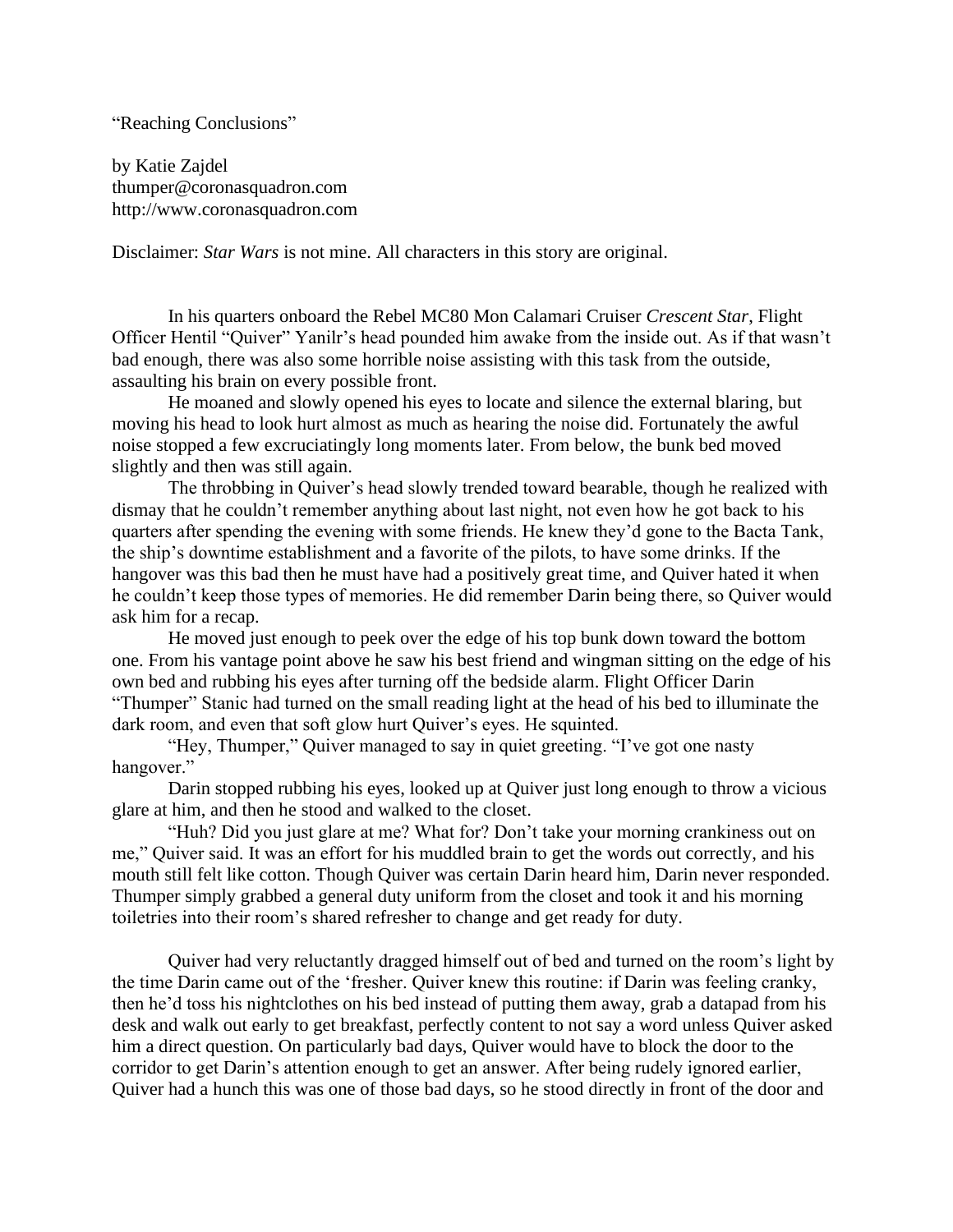"Reaching Conclusions"

by Katie Zajdel thumper@coronasquadron.com http://www.coronasquadron.com

Disclaimer: *Star Wars* is not mine. All characters in this story are original.

In his quarters onboard the Rebel MC80 Mon Calamari Cruiser *Crescent Star*, Flight Officer Hentil "Quiver" Yanilr's head pounded him awake from the inside out. As if that wasn't bad enough, there was also some horrible noise assisting with this task from the outside, assaulting his brain on every possible front.

He moaned and slowly opened his eyes to locate and silence the external blaring, but moving his head to look hurt almost as much as hearing the noise did. Fortunately the awful noise stopped a few excruciatingly long moments later. From below, the bunk bed moved slightly and then was still again.

The throbbing in Quiver's head slowly trended toward bearable, though he realized with dismay that he couldn't remember anything about last night, not even how he got back to his quarters after spending the evening with some friends. He knew they'd gone to the Bacta Tank, the ship's downtime establishment and a favorite of the pilots, to have some drinks. If the hangover was this bad then he must have had a positively great time, and Quiver hated it when he couldn't keep those types of memories. He did remember Darin being there, so Quiver would ask him for a recap.

He moved just enough to peek over the edge of his top bunk down toward the bottom one. From his vantage point above he saw his best friend and wingman sitting on the edge of his own bed and rubbing his eyes after turning off the bedside alarm. Flight Officer Darin "Thumper" Stanic had turned on the small reading light at the head of his bed to illuminate the dark room, and even that soft glow hurt Quiver's eyes. He squinted.

"Hey, Thumper," Quiver managed to say in quiet greeting. "I've got one nasty hangover."

Darin stopped rubbing his eyes, looked up at Quiver just long enough to throw a vicious glare at him, and then he stood and walked to the closet.

"Huh? Did you just glare at me? What for? Don't take your morning crankiness out on me," Quiver said. It was an effort for his muddled brain to get the words out correctly, and his mouth still felt like cotton. Though Quiver was certain Darin heard him, Darin never responded. Thumper simply grabbed a general duty uniform from the closet and took it and his morning toiletries into their room's shared refresher to change and get ready for duty.

Quiver had very reluctantly dragged himself out of bed and turned on the room's light by the time Darin came out of the 'fresher. Quiver knew this routine: if Darin was feeling cranky, then he'd toss his nightclothes on his bed instead of putting them away, grab a datapad from his desk and walk out early to get breakfast, perfectly content to not say a word unless Quiver asked him a direct question. On particularly bad days, Quiver would have to block the door to the corridor to get Darin's attention enough to get an answer. After being rudely ignored earlier, Quiver had a hunch this was one of those bad days, so he stood directly in front of the door and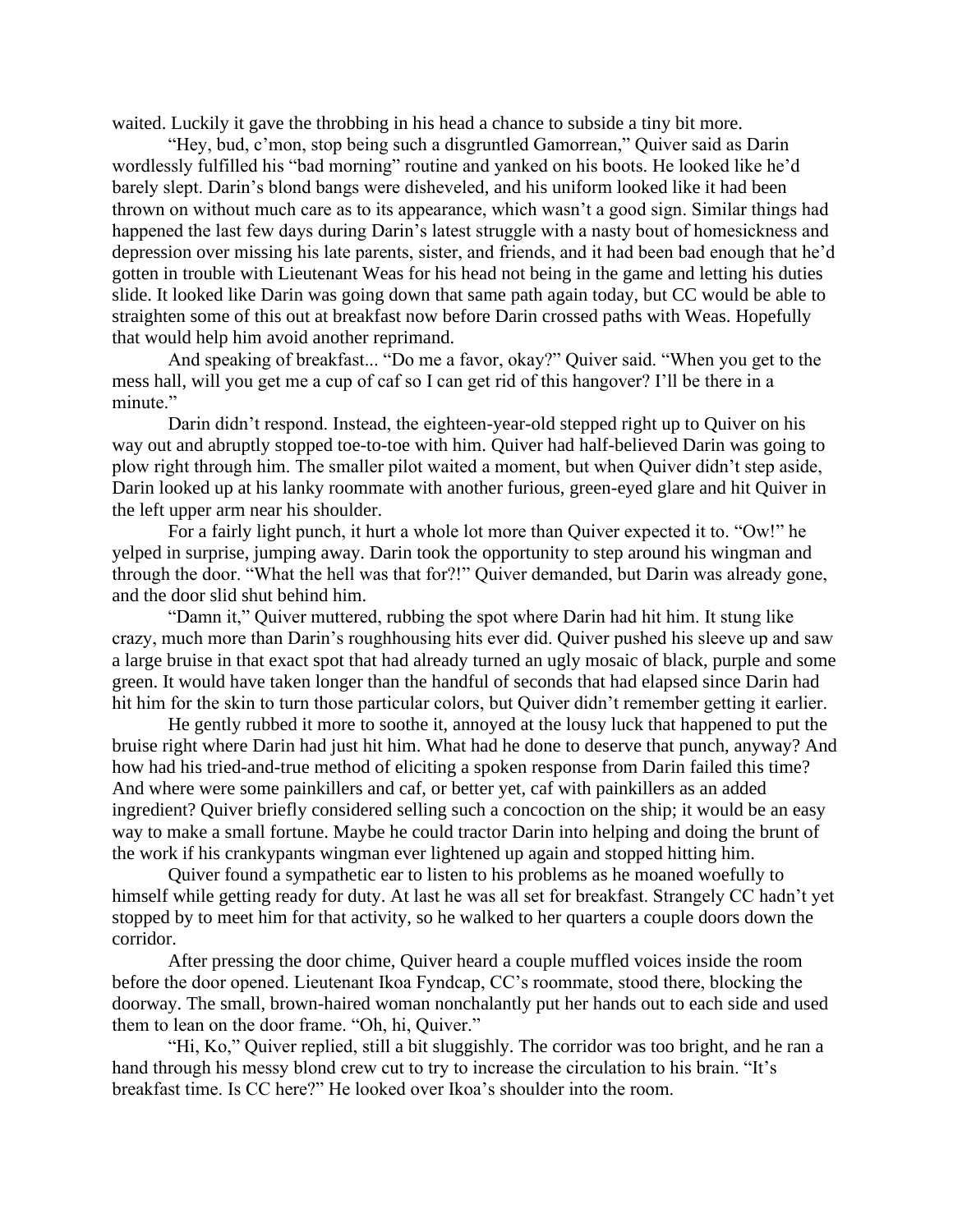waited. Luckily it gave the throbbing in his head a chance to subside a tiny bit more.

"Hey, bud, c'mon, stop being such a disgruntled Gamorrean," Quiver said as Darin wordlessly fulfilled his "bad morning" routine and yanked on his boots. He looked like he'd barely slept. Darin's blond bangs were disheveled, and his uniform looked like it had been thrown on without much care as to its appearance, which wasn't a good sign. Similar things had happened the last few days during Darin's latest struggle with a nasty bout of homesickness and depression over missing his late parents, sister, and friends, and it had been bad enough that he'd gotten in trouble with Lieutenant Weas for his head not being in the game and letting his duties slide. It looked like Darin was going down that same path again today, but CC would be able to straighten some of this out at breakfast now before Darin crossed paths with Weas. Hopefully that would help him avoid another reprimand.

And speaking of breakfast... "Do me a favor, okay?" Quiver said. "When you get to the mess hall, will you get me a cup of caf so I can get rid of this hangover? I'll be there in a minute."

Darin didn't respond. Instead, the eighteen-year-old stepped right up to Quiver on his way out and abruptly stopped toe-to-toe with him. Quiver had half-believed Darin was going to plow right through him. The smaller pilot waited a moment, but when Quiver didn't step aside, Darin looked up at his lanky roommate with another furious, green-eyed glare and hit Quiver in the left upper arm near his shoulder.

For a fairly light punch, it hurt a whole lot more than Quiver expected it to. "Ow!" he yelped in surprise, jumping away. Darin took the opportunity to step around his wingman and through the door. "What the hell was that for?!" Quiver demanded, but Darin was already gone, and the door slid shut behind him.

"Damn it," Quiver muttered, rubbing the spot where Darin had hit him. It stung like crazy, much more than Darin's roughhousing hits ever did. Quiver pushed his sleeve up and saw a large bruise in that exact spot that had already turned an ugly mosaic of black, purple and some green. It would have taken longer than the handful of seconds that had elapsed since Darin had hit him for the skin to turn those particular colors, but Quiver didn't remember getting it earlier.

He gently rubbed it more to soothe it, annoyed at the lousy luck that happened to put the bruise right where Darin had just hit him. What had he done to deserve that punch, anyway? And how had his tried-and-true method of eliciting a spoken response from Darin failed this time? And where were some painkillers and caf, or better yet, caf with painkillers as an added ingredient? Quiver briefly considered selling such a concoction on the ship; it would be an easy way to make a small fortune. Maybe he could tractor Darin into helping and doing the brunt of the work if his crankypants wingman ever lightened up again and stopped hitting him.

Quiver found a sympathetic ear to listen to his problems as he moaned woefully to himself while getting ready for duty. At last he was all set for breakfast. Strangely CC hadn't yet stopped by to meet him for that activity, so he walked to her quarters a couple doors down the corridor.

After pressing the door chime, Quiver heard a couple muffled voices inside the room before the door opened. Lieutenant Ikoa Fyndcap, CC's roommate, stood there, blocking the doorway. The small, brown-haired woman nonchalantly put her hands out to each side and used them to lean on the door frame. "Oh, hi, Quiver."

"Hi, Ko," Quiver replied, still a bit sluggishly. The corridor was too bright, and he ran a hand through his messy blond crew cut to try to increase the circulation to his brain. "It's breakfast time. Is CC here?" He looked over Ikoa's shoulder into the room.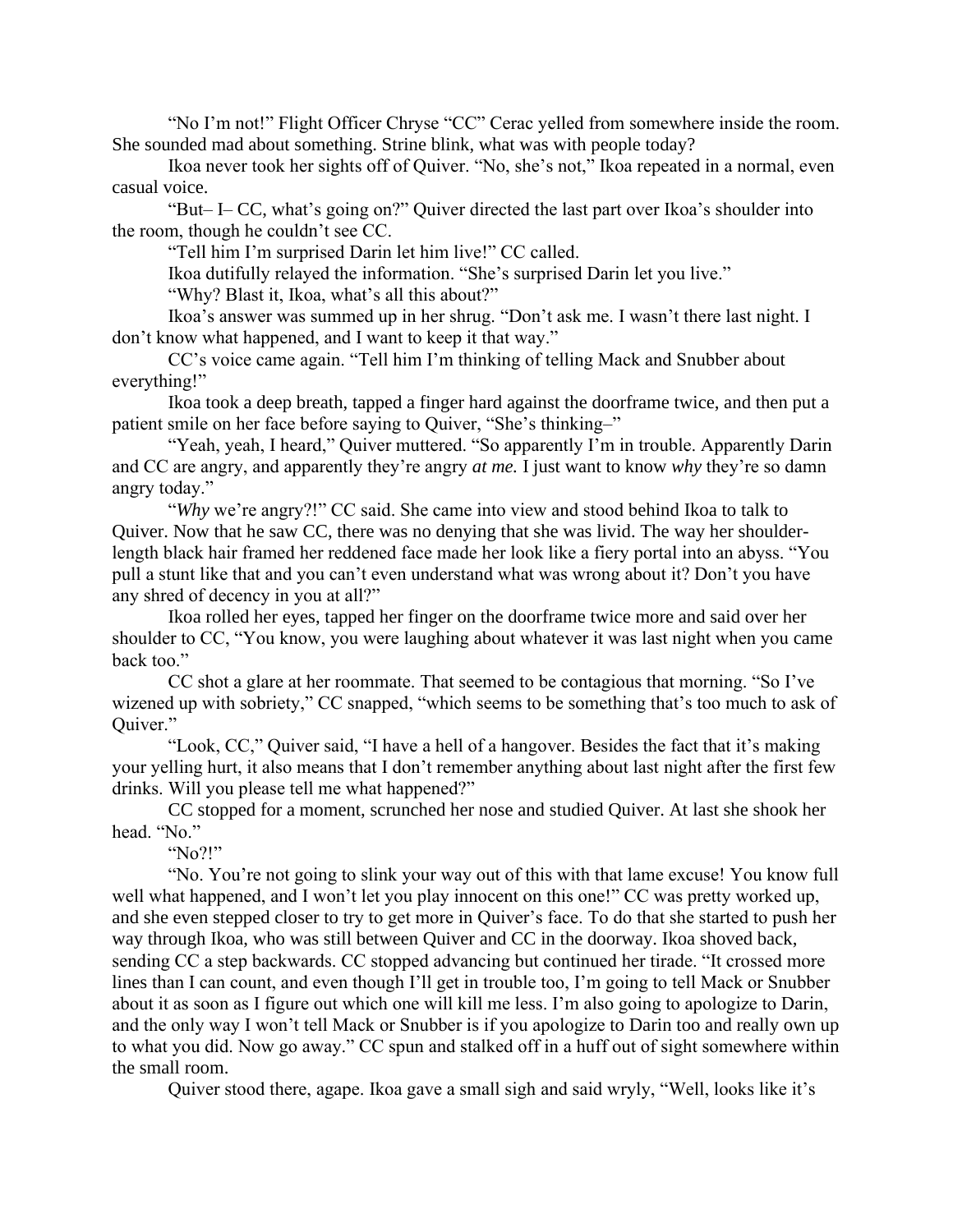"No I'm not!" Flight Officer Chryse "CC" Cerac yelled from somewhere inside the room. She sounded mad about something. Strine blink, what was with people today?

Ikoa never took her sights off of Quiver. "No, she's not," Ikoa repeated in a normal, even casual voice.

"But– I– CC, what's going on?" Quiver directed the last part over Ikoa's shoulder into the room, though he couldn't see CC.

"Tell him I'm surprised Darin let him live!" CC called.

Ikoa dutifully relayed the information. "She's surprised Darin let you live."

"Why? Blast it, Ikoa, what's all this about?"

Ikoa's answer was summed up in her shrug. "Don't ask me. I wasn't there last night. I don't know what happened, and I want to keep it that way."

CC's voice came again. "Tell him I'm thinking of telling Mack and Snubber about everything!"

Ikoa took a deep breath, tapped a finger hard against the doorframe twice, and then put a patient smile on her face before saying to Quiver, "She's thinking–"

"Yeah, yeah, I heard," Quiver muttered. "So apparently I'm in trouble. Apparently Darin and CC are angry, and apparently they're angry *at me.* I just want to know *why* they're so damn angry today."

"*Why* we're angry?!" CC said. She came into view and stood behind Ikoa to talk to Quiver. Now that he saw CC, there was no denying that she was livid. The way her shoulderlength black hair framed her reddened face made her look like a fiery portal into an abyss. "You pull a stunt like that and you can't even understand what was wrong about it? Don't you have any shred of decency in you at all?"

Ikoa rolled her eyes, tapped her finger on the doorframe twice more and said over her shoulder to CC, "You know, you were laughing about whatever it was last night when you came back too."

CC shot a glare at her roommate. That seemed to be contagious that morning. "So I've wizened up with sobriety," CC snapped, "which seems to be something that's too much to ask of Quiver."

"Look, CC," Quiver said, "I have a hell of a hangover. Besides the fact that it's making your yelling hurt, it also means that I don't remember anything about last night after the first few drinks. Will you please tell me what happened?"

CC stopped for a moment, scrunched her nose and studied Quiver. At last she shook her head. "No."

"No?!"

"No. You're not going to slink your way out of this with that lame excuse! You know full well what happened, and I won't let you play innocent on this one!" CC was pretty worked up, and she even stepped closer to try to get more in Quiver's face. To do that she started to push her way through Ikoa, who was still between Quiver and CC in the doorway. Ikoa shoved back, sending CC a step backwards. CC stopped advancing but continued her tirade. "It crossed more lines than I can count, and even though I'll get in trouble too, I'm going to tell Mack or Snubber about it as soon as I figure out which one will kill me less. I'm also going to apologize to Darin, and the only way I won't tell Mack or Snubber is if you apologize to Darin too and really own up to what you did. Now go away." CC spun and stalked off in a huff out of sight somewhere within the small room.

Quiver stood there, agape. Ikoa gave a small sigh and said wryly, "Well, looks like it's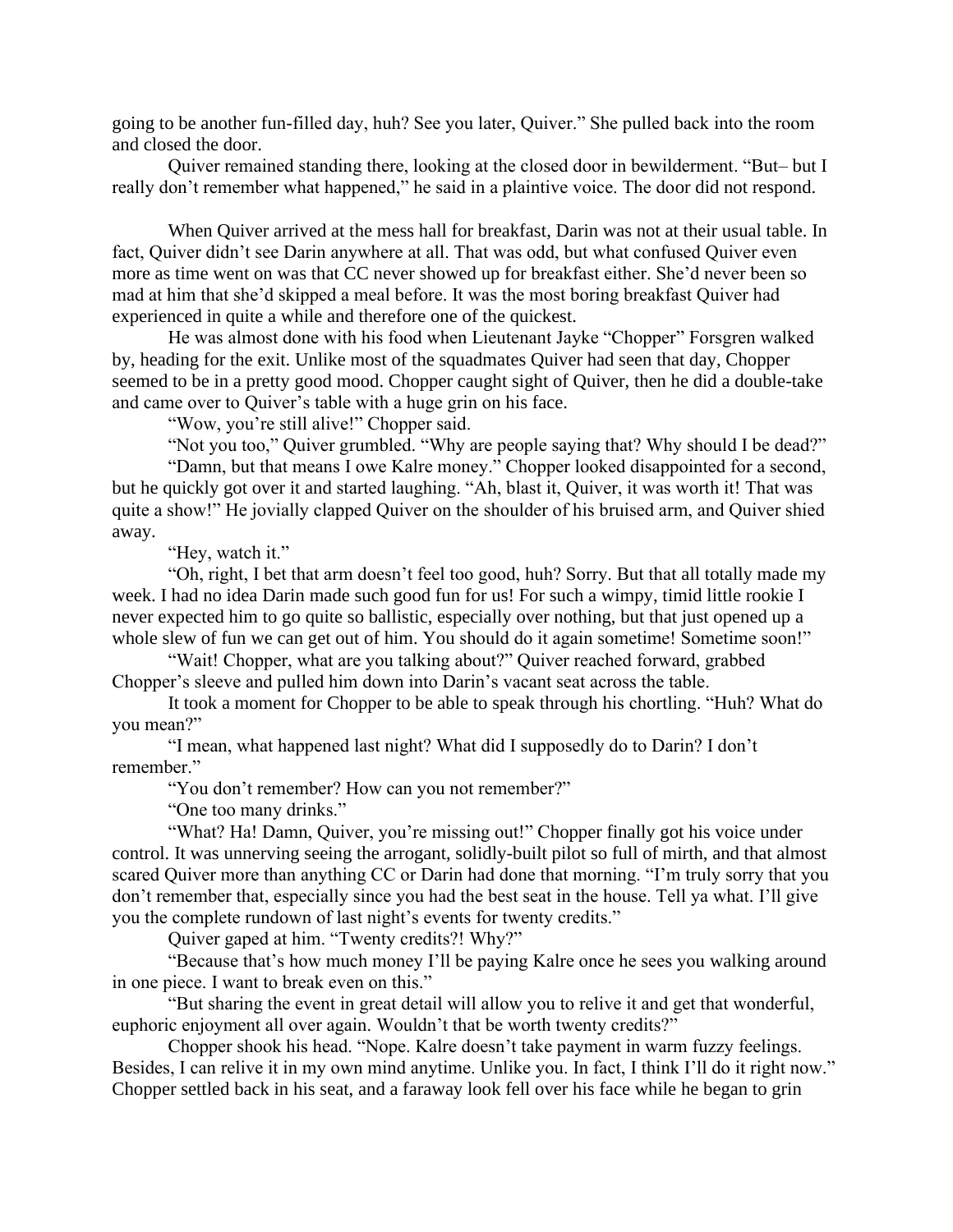going to be another fun-filled day, huh? See you later, Quiver." She pulled back into the room and closed the door.

Quiver remained standing there, looking at the closed door in bewilderment. "But– but I really don't remember what happened," he said in a plaintive voice. The door did not respond.

When Quiver arrived at the mess hall for breakfast, Darin was not at their usual table. In fact, Quiver didn't see Darin anywhere at all. That was odd, but what confused Quiver even more as time went on was that CC never showed up for breakfast either. She'd never been so mad at him that she'd skipped a meal before. It was the most boring breakfast Quiver had experienced in quite a while and therefore one of the quickest.

He was almost done with his food when Lieutenant Jayke "Chopper" Forsgren walked by, heading for the exit. Unlike most of the squadmates Quiver had seen that day, Chopper seemed to be in a pretty good mood. Chopper caught sight of Quiver, then he did a double-take and came over to Quiver's table with a huge grin on his face.

"Wow, you're still alive!" Chopper said.

"Not you too," Quiver grumbled. "Why are people saying that? Why should I be dead?"

"Damn, but that means I owe Kalre money." Chopper looked disappointed for a second, but he quickly got over it and started laughing. "Ah, blast it, Quiver, it was worth it! That was quite a show!" He jovially clapped Quiver on the shoulder of his bruised arm, and Quiver shied away.

"Hey, watch it."

"Oh, right, I bet that arm doesn't feel too good, huh? Sorry. But that all totally made my week. I had no idea Darin made such good fun for us! For such a wimpy, timid little rookie I never expected him to go quite so ballistic, especially over nothing, but that just opened up a whole slew of fun we can get out of him. You should do it again sometime! Sometime soon!"

"Wait! Chopper, what are you talking about?" Quiver reached forward, grabbed Chopper's sleeve and pulled him down into Darin's vacant seat across the table.

It took a moment for Chopper to be able to speak through his chortling. "Huh? What do you mean?"

"I mean, what happened last night? What did I supposedly do to Darin? I don't remember."

"You don't remember? How can you not remember?"

"One too many drinks."

"What? Ha! Damn, Quiver, you're missing out!" Chopper finally got his voice under control. It was unnerving seeing the arrogant, solidly-built pilot so full of mirth, and that almost scared Quiver more than anything CC or Darin had done that morning. "I'm truly sorry that you don't remember that, especially since you had the best seat in the house. Tell ya what. I'll give you the complete rundown of last night's events for twenty credits."

Quiver gaped at him. "Twenty credits?! Why?"

"Because that's how much money I'll be paying Kalre once he sees you walking around in one piece. I want to break even on this."

"But sharing the event in great detail will allow you to relive it and get that wonderful, euphoric enjoyment all over again. Wouldn't that be worth twenty credits?"

Chopper shook his head. "Nope. Kalre doesn't take payment in warm fuzzy feelings. Besides, I can relive it in my own mind anytime. Unlike you. In fact, I think I'll do it right now." Chopper settled back in his seat, and a faraway look fell over his face while he began to grin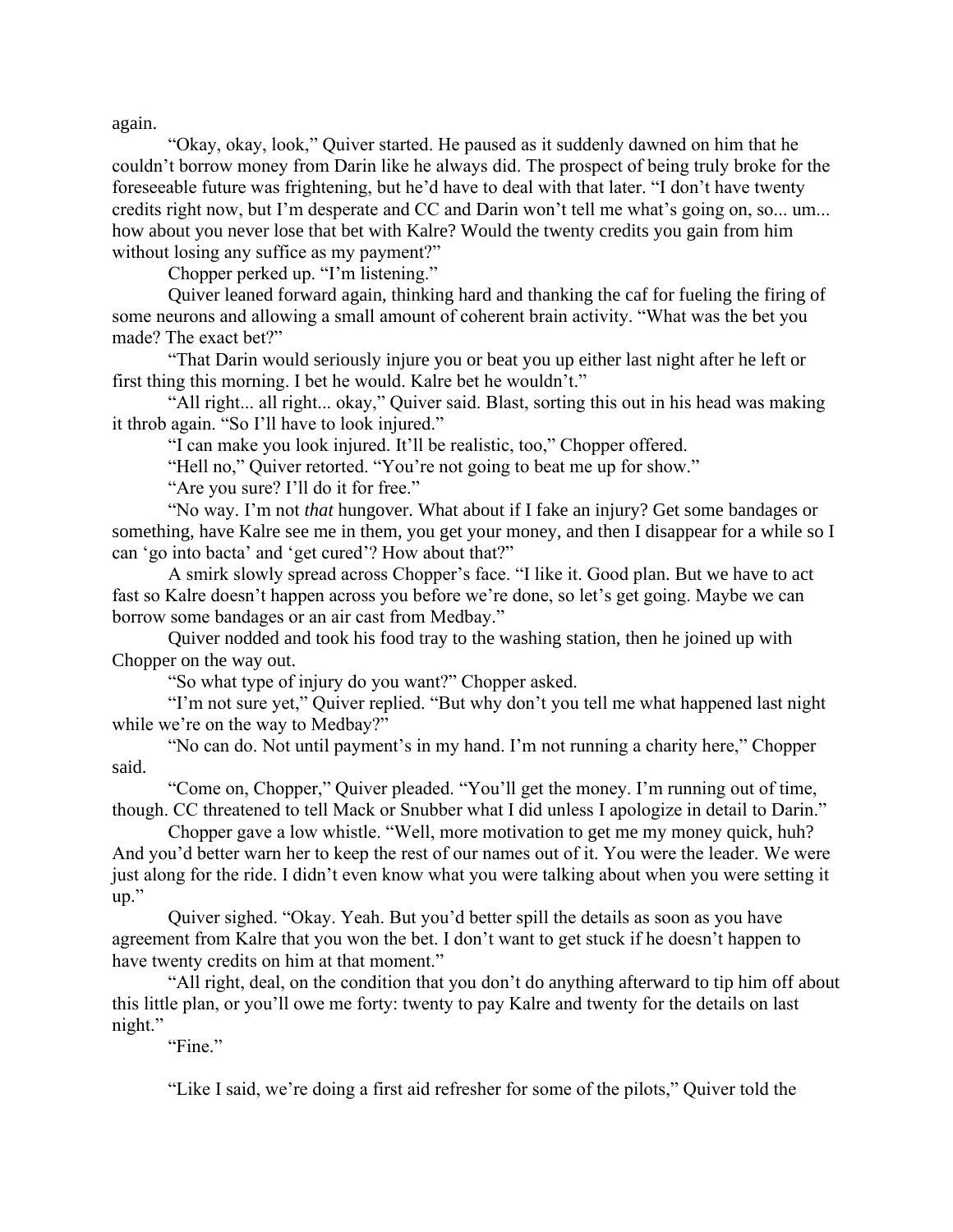again.

"Okay, okay, look," Quiver started. He paused as it suddenly dawned on him that he couldn't borrow money from Darin like he always did. The prospect of being truly broke for the foreseeable future was frightening, but he'd have to deal with that later. "I don't have twenty credits right now, but I'm desperate and CC and Darin won't tell me what's going on, so... um... how about you never lose that bet with Kalre? Would the twenty credits you gain from him without losing any suffice as my payment?"

Chopper perked up. "I'm listening."

Quiver leaned forward again, thinking hard and thanking the caf for fueling the firing of some neurons and allowing a small amount of coherent brain activity. "What was the bet you made? The exact bet?"

"That Darin would seriously injure you or beat you up either last night after he left or first thing this morning. I bet he would. Kalre bet he wouldn't."

"All right... all right... okay," Quiver said. Blast, sorting this out in his head was making it throb again. "So I'll have to look injured."

"I can make you look injured. It'll be realistic, too," Chopper offered.

"Hell no," Quiver retorted. "You're not going to beat me up for show."

"Are you sure? I'll do it for free."

"No way. I'm not *that* hungover. What about if I fake an injury? Get some bandages or something, have Kalre see me in them, you get your money, and then I disappear for a while so I can 'go into bacta' and 'get cured'? How about that?"

A smirk slowly spread across Chopper's face. "I like it. Good plan. But we have to act fast so Kalre doesn't happen across you before we're done, so let's get going. Maybe we can borrow some bandages or an air cast from Medbay."

Quiver nodded and took his food tray to the washing station, then he joined up with Chopper on the way out.

"So what type of injury do you want?" Chopper asked.

"I'm not sure yet," Quiver replied. "But why don't you tell me what happened last night while we're on the way to Medbay?"

"No can do. Not until payment's in my hand. I'm not running a charity here," Chopper said.

"Come on, Chopper," Quiver pleaded. "You'll get the money. I'm running out of time, though. CC threatened to tell Mack or Snubber what I did unless I apologize in detail to Darin."

Chopper gave a low whistle. "Well, more motivation to get me my money quick, huh? And you'd better warn her to keep the rest of our names out of it. You were the leader. We were just along for the ride. I didn't even know what you were talking about when you were setting it up."

Quiver sighed. "Okay. Yeah. But you'd better spill the details as soon as you have agreement from Kalre that you won the bet. I don't want to get stuck if he doesn't happen to have twenty credits on him at that moment."

"All right, deal, on the condition that you don't do anything afterward to tip him off about this little plan, or you'll owe me forty: twenty to pay Kalre and twenty for the details on last night."

"Fine."

"Like I said, we're doing a first aid refresher for some of the pilots," Quiver told the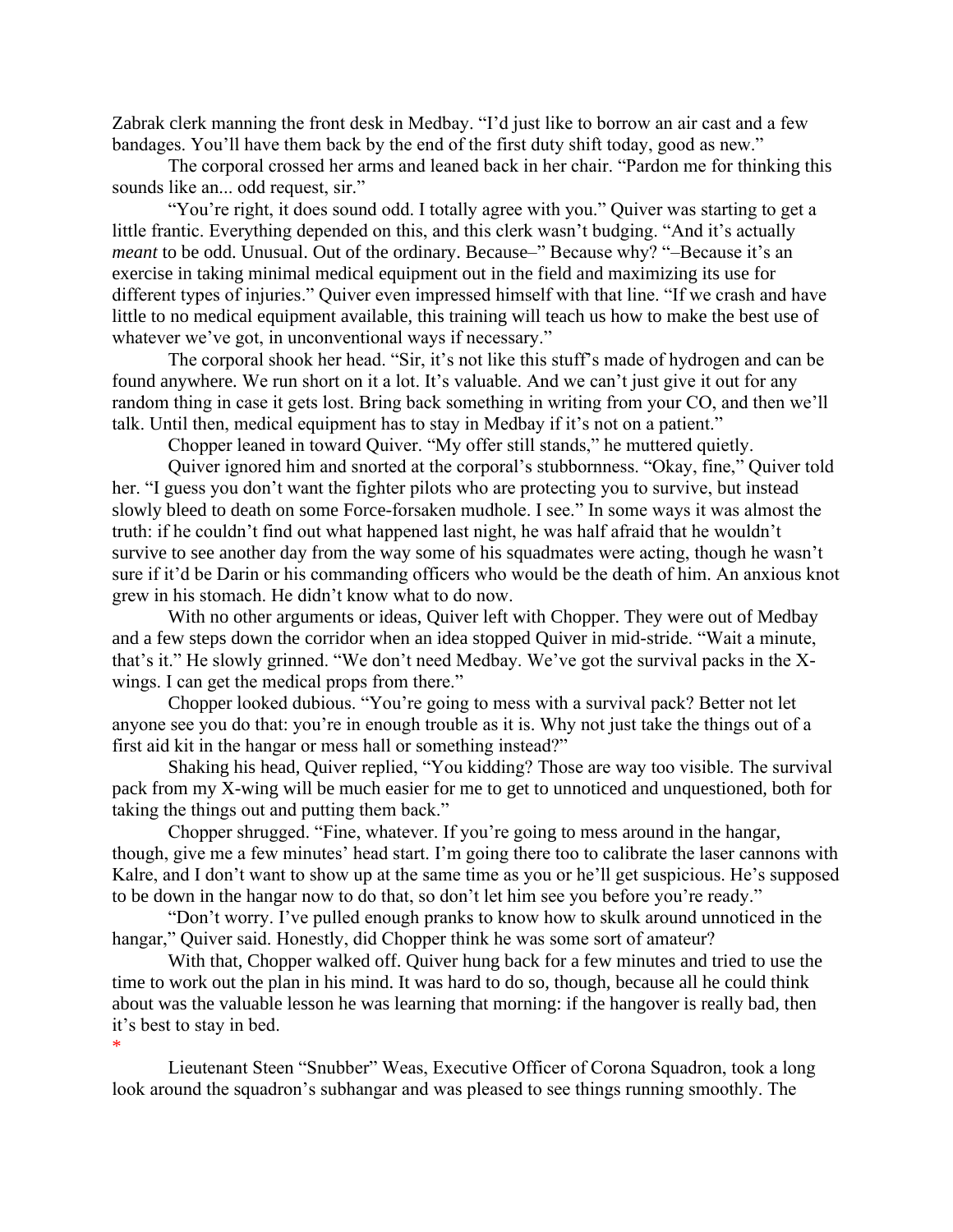Zabrak clerk manning the front desk in Medbay. "I'd just like to borrow an air cast and a few bandages. You'll have them back by the end of the first duty shift today, good as new."

The corporal crossed her arms and leaned back in her chair. "Pardon me for thinking this sounds like an... odd request, sir."

"You're right, it does sound odd. I totally agree with you." Quiver was starting to get a little frantic. Everything depended on this, and this clerk wasn't budging. "And it's actually *meant* to be odd. Unusual. Out of the ordinary. Because–" Because why? "-Because it's an exercise in taking minimal medical equipment out in the field and maximizing its use for different types of injuries." Quiver even impressed himself with that line. "If we crash and have little to no medical equipment available, this training will teach us how to make the best use of whatever we've got, in unconventional ways if necessary."

The corporal shook her head. "Sir, it's not like this stuff's made of hydrogen and can be found anywhere. We run short on it a lot. It's valuable. And we can't just give it out for any random thing in case it gets lost. Bring back something in writing from your CO, and then we'll talk. Until then, medical equipment has to stay in Medbay if it's not on a patient."

Chopper leaned in toward Quiver. "My offer still stands," he muttered quietly.

Quiver ignored him and snorted at the corporal's stubbornness. "Okay, fine," Quiver told her. "I guess you don't want the fighter pilots who are protecting you to survive, but instead slowly bleed to death on some Force-forsaken mudhole. I see." In some ways it was almost the truth: if he couldn't find out what happened last night, he was half afraid that he wouldn't survive to see another day from the way some of his squadmates were acting, though he wasn't sure if it'd be Darin or his commanding officers who would be the death of him. An anxious knot grew in his stomach. He didn't know what to do now.

With no other arguments or ideas, Quiver left with Chopper. They were out of Medbay and a few steps down the corridor when an idea stopped Quiver in mid-stride. "Wait a minute, that's it." He slowly grinned. "We don't need Medbay. We've got the survival packs in the Xwings. I can get the medical props from there."

Chopper looked dubious. "You're going to mess with a survival pack? Better not let anyone see you do that: you're in enough trouble as it is. Why not just take the things out of a first aid kit in the hangar or mess hall or something instead?"

Shaking his head, Quiver replied, "You kidding? Those are way too visible. The survival pack from my X-wing will be much easier for me to get to unnoticed and unquestioned, both for taking the things out and putting them back."

Chopper shrugged. "Fine, whatever. If you're going to mess around in the hangar, though, give me a few minutes' head start. I'm going there too to calibrate the laser cannons with Kalre, and I don't want to show up at the same time as you or he'll get suspicious. He's supposed to be down in the hangar now to do that, so don't let him see you before you're ready."

"Don't worry. I've pulled enough pranks to know how to skulk around unnoticed in the hangar," Quiver said. Honestly, did Chopper think he was some sort of amateur?

With that, Chopper walked off. Quiver hung back for a few minutes and tried to use the time to work out the plan in his mind. It was hard to do so, though, because all he could think about was the valuable lesson he was learning that morning: if the hangover is really bad, then it's best to stay in bed.

\*

Lieutenant Steen "Snubber" Weas, Executive Officer of Corona Squadron, took a long look around the squadron's subhangar and was pleased to see things running smoothly. The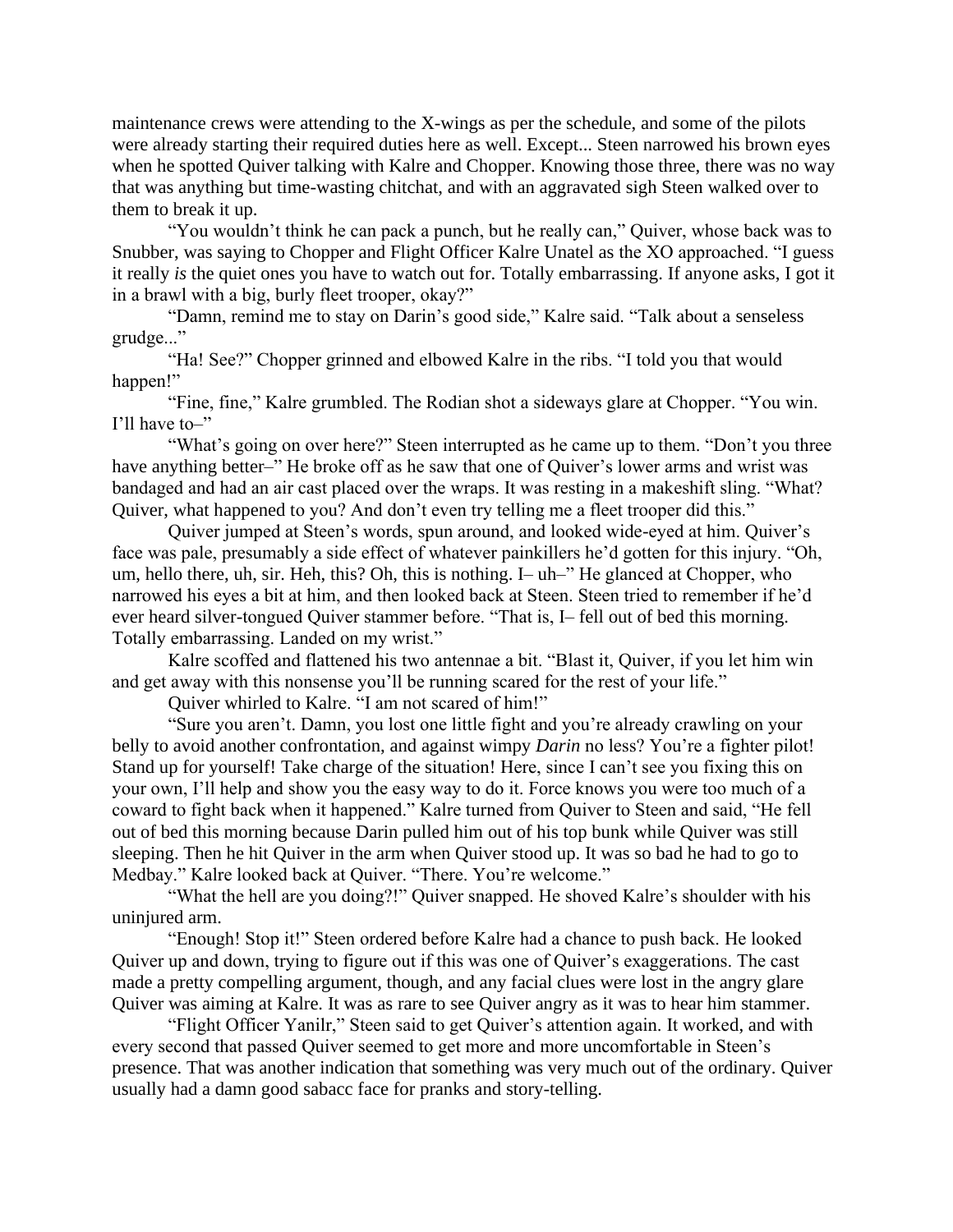maintenance crews were attending to the X-wings as per the schedule, and some of the pilots were already starting their required duties here as well. Except... Steen narrowed his brown eyes when he spotted Quiver talking with Kalre and Chopper. Knowing those three, there was no way that was anything but time-wasting chitchat, and with an aggravated sigh Steen walked over to them to break it up.

"You wouldn't think he can pack a punch, but he really can," Quiver, whose back was to Snubber, was saying to Chopper and Flight Officer Kalre Unatel as the XO approached. "I guess it really *is* the quiet ones you have to watch out for. Totally embarrassing. If anyone asks, I got it in a brawl with a big, burly fleet trooper, okay?"

"Damn, remind me to stay on Darin's good side," Kalre said. "Talk about a senseless grudge..."

"Ha! See?" Chopper grinned and elbowed Kalre in the ribs. "I told you that would happen!"

"Fine, fine," Kalre grumbled. The Rodian shot a sideways glare at Chopper. "You win. I'll have to–"

"What's going on over here?" Steen interrupted as he came up to them. "Don't you three have anything better–" He broke off as he saw that one of Quiver's lower arms and wrist was bandaged and had an air cast placed over the wraps. It was resting in a makeshift sling. "What? Quiver, what happened to you? And don't even try telling me a fleet trooper did this."

Quiver jumped at Steen's words, spun around, and looked wide-eyed at him. Quiver's face was pale, presumably a side effect of whatever painkillers he'd gotten for this injury. "Oh, um, hello there, uh, sir. Heh, this? Oh, this is nothing. I– uh–" He glanced at Chopper, who narrowed his eyes a bit at him, and then looked back at Steen. Steen tried to remember if he'd ever heard silver-tongued Quiver stammer before. "That is, I– fell out of bed this morning. Totally embarrassing. Landed on my wrist."

Kalre scoffed and flattened his two antennae a bit. "Blast it, Quiver, if you let him win and get away with this nonsense you'll be running scared for the rest of your life."

Quiver whirled to Kalre. "I am not scared of him!"

"Sure you aren't. Damn, you lost one little fight and you're already crawling on your belly to avoid another confrontation, and against wimpy *Darin* no less? You're a fighter pilot! Stand up for yourself! Take charge of the situation! Here, since I can't see you fixing this on your own, I'll help and show you the easy way to do it. Force knows you were too much of a coward to fight back when it happened." Kalre turned from Quiver to Steen and said, "He fell out of bed this morning because Darin pulled him out of his top bunk while Quiver was still sleeping. Then he hit Quiver in the arm when Quiver stood up. It was so bad he had to go to Medbay." Kalre looked back at Quiver. "There. You're welcome."

"What the hell are you doing?!" Quiver snapped. He shoved Kalre's shoulder with his uninjured arm.

"Enough! Stop it!" Steen ordered before Kalre had a chance to push back. He looked Quiver up and down, trying to figure out if this was one of Quiver's exaggerations. The cast made a pretty compelling argument, though, and any facial clues were lost in the angry glare Quiver was aiming at Kalre. It was as rare to see Quiver angry as it was to hear him stammer.

"Flight Officer Yanilr," Steen said to get Quiver's attention again. It worked, and with every second that passed Quiver seemed to get more and more uncomfortable in Steen's presence. That was another indication that something was very much out of the ordinary. Quiver usually had a damn good sabacc face for pranks and story-telling.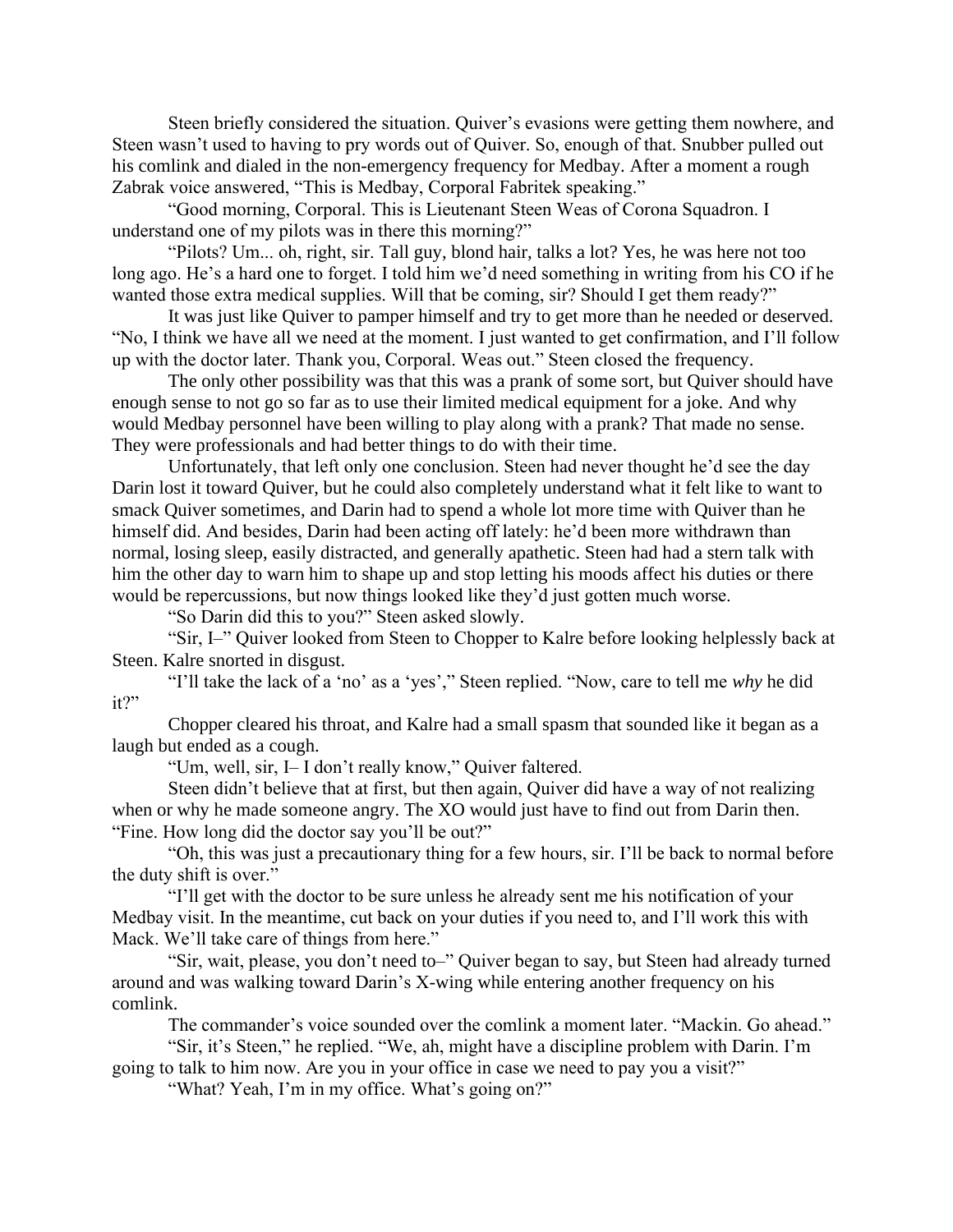Steen briefly considered the situation. Quiver's evasions were getting them nowhere, and Steen wasn't used to having to pry words out of Quiver. So, enough of that. Snubber pulled out his comlink and dialed in the non-emergency frequency for Medbay. After a moment a rough Zabrak voice answered, "This is Medbay, Corporal Fabritek speaking."

"Good morning, Corporal. This is Lieutenant Steen Weas of Corona Squadron. I understand one of my pilots was in there this morning?"

"Pilots? Um... oh, right, sir. Tall guy, blond hair, talks a lot? Yes, he was here not too long ago. He's a hard one to forget. I told him we'd need something in writing from his CO if he wanted those extra medical supplies. Will that be coming, sir? Should I get them ready?"

It was just like Quiver to pamper himself and try to get more than he needed or deserved. "No, I think we have all we need at the moment. I just wanted to get confirmation, and I'll follow up with the doctor later. Thank you, Corporal. Weas out." Steen closed the frequency.

The only other possibility was that this was a prank of some sort, but Quiver should have enough sense to not go so far as to use their limited medical equipment for a joke. And why would Medbay personnel have been willing to play along with a prank? That made no sense. They were professionals and had better things to do with their time.

Unfortunately, that left only one conclusion. Steen had never thought he'd see the day Darin lost it toward Quiver, but he could also completely understand what it felt like to want to smack Quiver sometimes, and Darin had to spend a whole lot more time with Quiver than he himself did. And besides, Darin had been acting off lately: he'd been more withdrawn than normal, losing sleep, easily distracted, and generally apathetic. Steen had had a stern talk with him the other day to warn him to shape up and stop letting his moods affect his duties or there would be repercussions, but now things looked like they'd just gotten much worse.

"So Darin did this to you?" Steen asked slowly.

"Sir, I–" Quiver looked from Steen to Chopper to Kalre before looking helplessly back at Steen. Kalre snorted in disgust.

"I'll take the lack of a 'no' as a 'yes'," Steen replied. "Now, care to tell me *why* he did it?"

Chopper cleared his throat, and Kalre had a small spasm that sounded like it began as a laugh but ended as a cough.

"Um, well, sir, I– I don't really know," Quiver faltered.

Steen didn't believe that at first, but then again, Quiver did have a way of not realizing when or why he made someone angry. The XO would just have to find out from Darin then. "Fine. How long did the doctor say you'll be out?"

"Oh, this was just a precautionary thing for a few hours, sir. I'll be back to normal before the duty shift is over."

"I'll get with the doctor to be sure unless he already sent me his notification of your Medbay visit. In the meantime, cut back on your duties if you need to, and I'll work this with Mack. We'll take care of things from here."

"Sir, wait, please, you don't need to–" Quiver began to say, but Steen had already turned around and was walking toward Darin's X-wing while entering another frequency on his comlink.

The commander's voice sounded over the comlink a moment later. "Mackin. Go ahead."

"Sir, it's Steen," he replied. "We, ah, might have a discipline problem with Darin. I'm going to talk to him now. Are you in your office in case we need to pay you a visit?"

"What? Yeah, I'm in my office. What's going on?"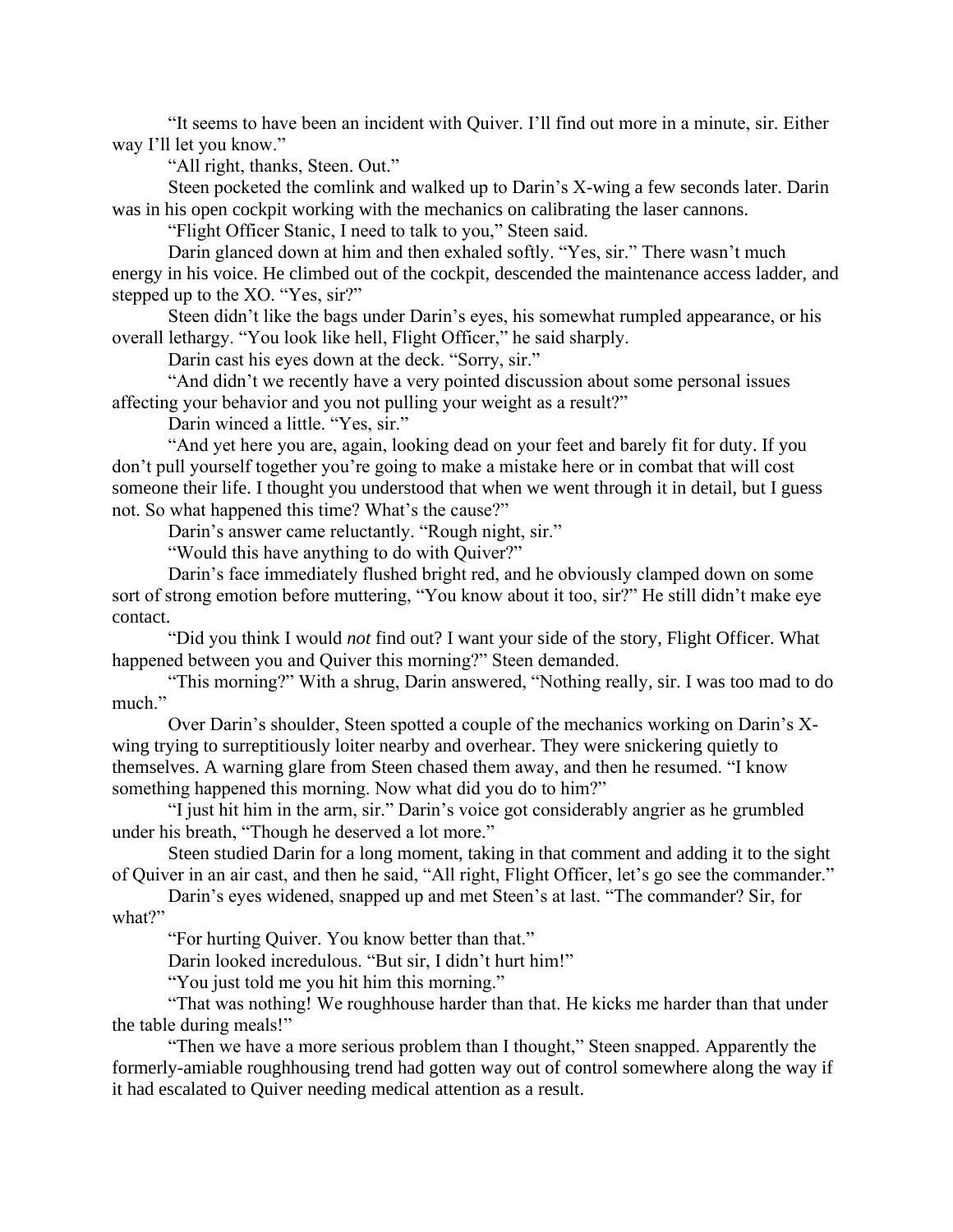"It seems to have been an incident with Quiver. I'll find out more in a minute, sir. Either way I'll let you know."

"All right, thanks, Steen. Out."

Steen pocketed the comlink and walked up to Darin's X-wing a few seconds later. Darin was in his open cockpit working with the mechanics on calibrating the laser cannons.

"Flight Officer Stanic, I need to talk to you," Steen said.

Darin glanced down at him and then exhaled softly. "Yes, sir." There wasn't much energy in his voice. He climbed out of the cockpit, descended the maintenance access ladder, and stepped up to the XO. "Yes, sir?"

Steen didn't like the bags under Darin's eyes, his somewhat rumpled appearance, or his overall lethargy. "You look like hell, Flight Officer," he said sharply.

Darin cast his eyes down at the deck. "Sorry, sir."

"And didn't we recently have a very pointed discussion about some personal issues affecting your behavior and you not pulling your weight as a result?"

Darin winced a little. "Yes, sir."

"And yet here you are, again, looking dead on your feet and barely fit for duty. If you don't pull yourself together you're going to make a mistake here or in combat that will cost someone their life. I thought you understood that when we went through it in detail, but I guess not. So what happened this time? What's the cause?"

Darin's answer came reluctantly. "Rough night, sir."

"Would this have anything to do with Quiver?"

Darin's face immediately flushed bright red, and he obviously clamped down on some sort of strong emotion before muttering, "You know about it too, sir?" He still didn't make eye contact.

"Did you think I would *not* find out? I want your side of the story, Flight Officer. What happened between you and Quiver this morning?" Steen demanded.

"This morning?" With a shrug, Darin answered, "Nothing really, sir. I was too mad to do much."

Over Darin's shoulder, Steen spotted a couple of the mechanics working on Darin's Xwing trying to surreptitiously loiter nearby and overhear. They were snickering quietly to themselves. A warning glare from Steen chased them away, and then he resumed. "I know something happened this morning. Now what did you do to him?"

"I just hit him in the arm, sir." Darin's voice got considerably angrier as he grumbled under his breath, "Though he deserved a lot more."

Steen studied Darin for a long moment, taking in that comment and adding it to the sight of Quiver in an air cast, and then he said, "All right, Flight Officer, let's go see the commander."

Darin's eyes widened, snapped up and met Steen's at last. "The commander? Sir, for what?"

"For hurting Quiver. You know better than that."

Darin looked incredulous. "But sir, I didn't hurt him!"

"You just told me you hit him this morning."

"That was nothing! We roughhouse harder than that. He kicks me harder than that under the table during meals!"

"Then we have a more serious problem than I thought," Steen snapped. Apparently the formerly-amiable roughhousing trend had gotten way out of control somewhere along the way if it had escalated to Quiver needing medical attention as a result.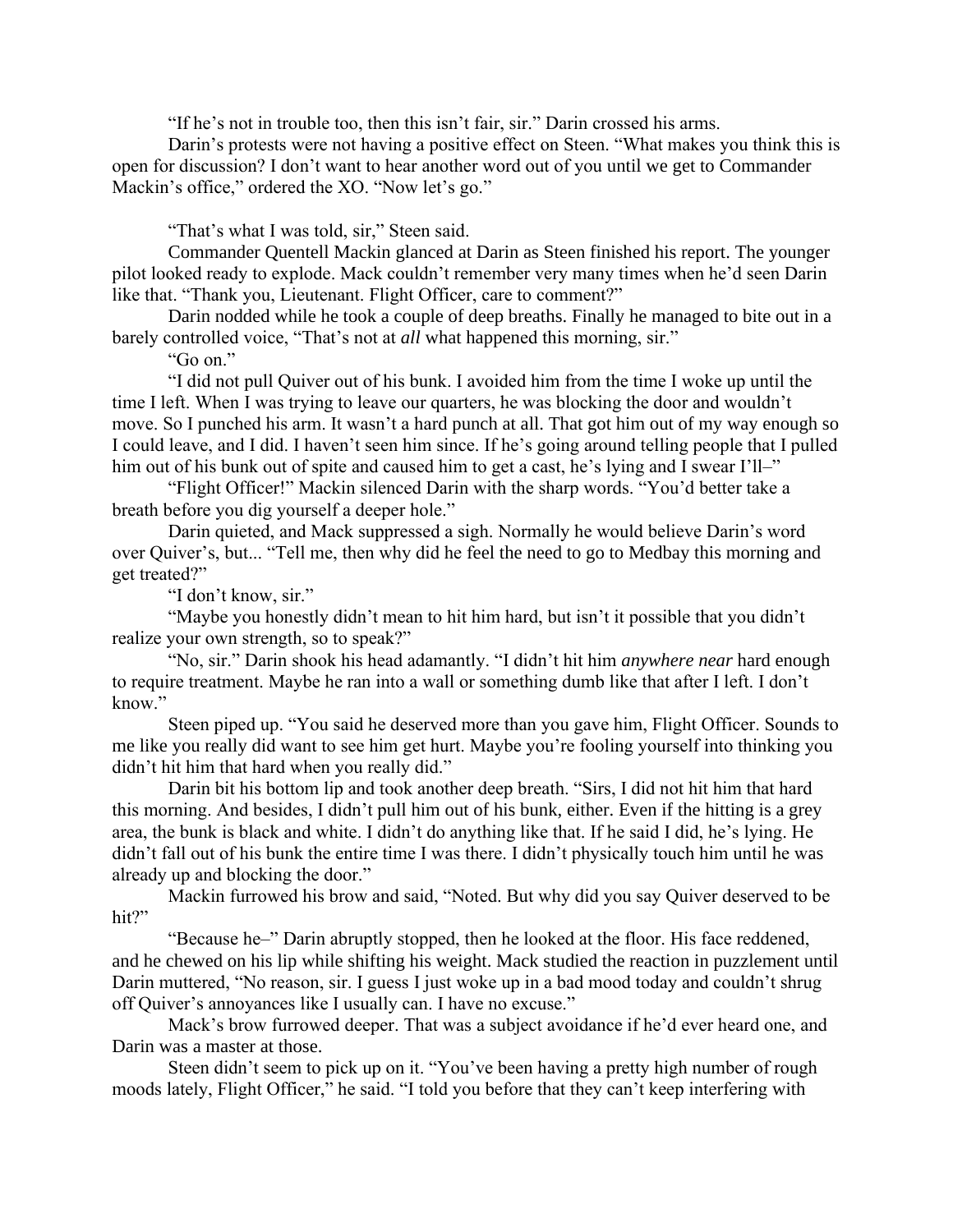"If he's not in trouble too, then this isn't fair, sir." Darin crossed his arms.

Darin's protests were not having a positive effect on Steen. "What makes you think this is open for discussion? I don't want to hear another word out of you until we get to Commander Mackin's office," ordered the XO. "Now let's go."

"That's what I was told, sir," Steen said.

Commander Quentell Mackin glanced at Darin as Steen finished his report. The younger pilot looked ready to explode. Mack couldn't remember very many times when he'd seen Darin like that. "Thank you, Lieutenant. Flight Officer, care to comment?"

Darin nodded while he took a couple of deep breaths. Finally he managed to bite out in a barely controlled voice, "That's not at *all* what happened this morning, sir."

"Go on."

"I did not pull Quiver out of his bunk. I avoided him from the time I woke up until the time I left. When I was trying to leave our quarters, he was blocking the door and wouldn't move. So I punched his arm. It wasn't a hard punch at all. That got him out of my way enough so I could leave, and I did. I haven't seen him since. If he's going around telling people that I pulled him out of his bunk out of spite and caused him to get a cast, he's lying and I swear I'll–"

"Flight Officer!" Mackin silenced Darin with the sharp words. "You'd better take a breath before you dig yourself a deeper hole."

Darin quieted, and Mack suppressed a sigh. Normally he would believe Darin's word over Quiver's, but... "Tell me, then why did he feel the need to go to Medbay this morning and get treated?"

"I don't know, sir."

"Maybe you honestly didn't mean to hit him hard, but isn't it possible that you didn't realize your own strength, so to speak?"

"No, sir." Darin shook his head adamantly. "I didn't hit him *anywhere near* hard enough to require treatment. Maybe he ran into a wall or something dumb like that after I left. I don't know."

Steen piped up. "You said he deserved more than you gave him, Flight Officer. Sounds to me like you really did want to see him get hurt. Maybe you're fooling yourself into thinking you didn't hit him that hard when you really did."

Darin bit his bottom lip and took another deep breath. "Sirs, I did not hit him that hard this morning. And besides, I didn't pull him out of his bunk, either. Even if the hitting is a grey area, the bunk is black and white. I didn't do anything like that. If he said I did, he's lying. He didn't fall out of his bunk the entire time I was there. I didn't physically touch him until he was already up and blocking the door."

Mackin furrowed his brow and said, "Noted. But why did you say Quiver deserved to be hit?"

"Because he–" Darin abruptly stopped, then he looked at the floor. His face reddened, and he chewed on his lip while shifting his weight. Mack studied the reaction in puzzlement until Darin muttered, "No reason, sir. I guess I just woke up in a bad mood today and couldn't shrug off Quiver's annoyances like I usually can. I have no excuse."

Mack's brow furrowed deeper. That was a subject avoidance if he'd ever heard one, and Darin was a master at those.

Steen didn't seem to pick up on it. "You've been having a pretty high number of rough moods lately, Flight Officer," he said. "I told you before that they can't keep interfering with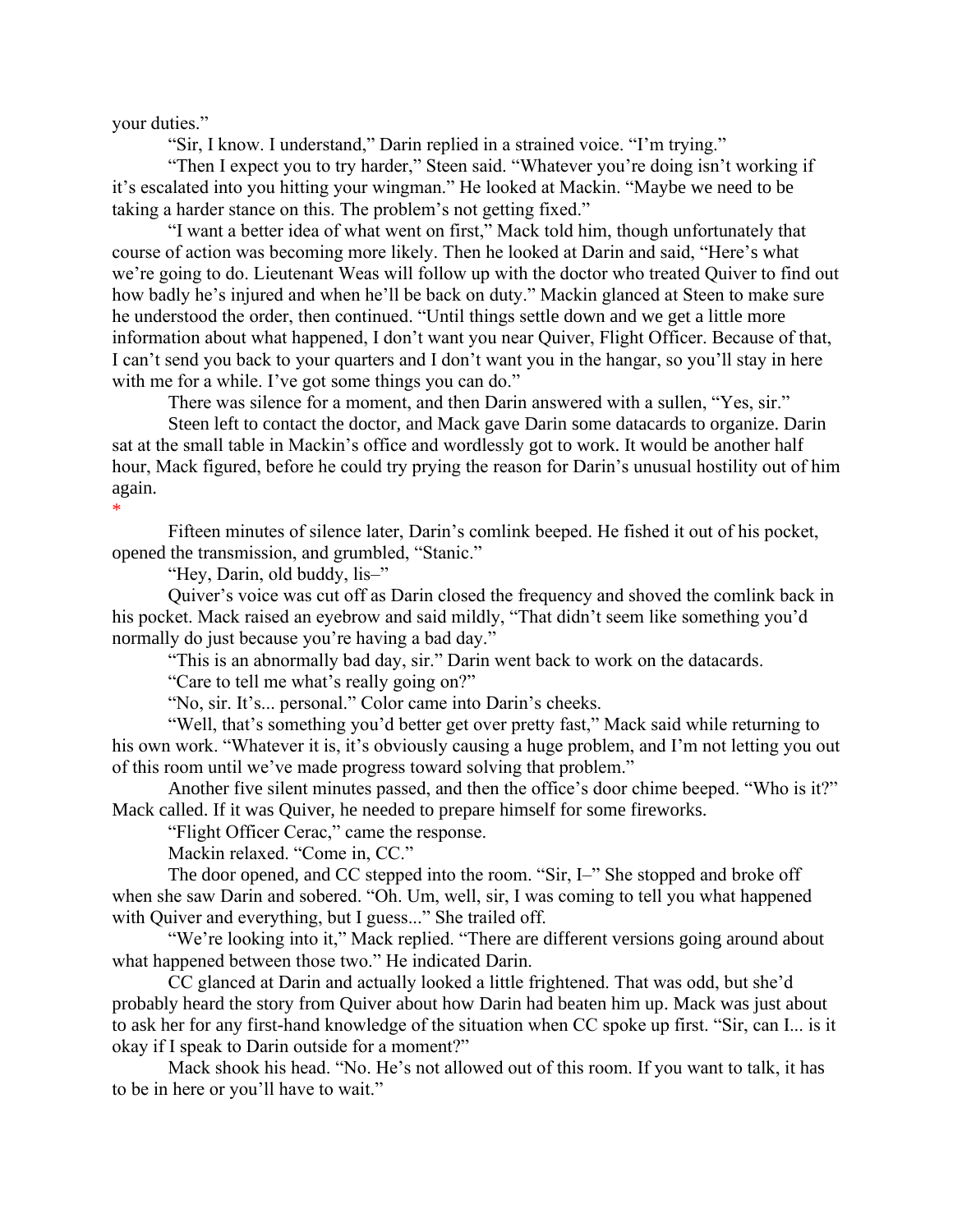your duties."

"Sir, I know. I understand," Darin replied in a strained voice. "I'm trying."

"Then I expect you to try harder," Steen said. "Whatever you're doing isn't working if it's escalated into you hitting your wingman." He looked at Mackin. "Maybe we need to be taking a harder stance on this. The problem's not getting fixed."

"I want a better idea of what went on first," Mack told him, though unfortunately that course of action was becoming more likely. Then he looked at Darin and said, "Here's what we're going to do. Lieutenant Weas will follow up with the doctor who treated Quiver to find out how badly he's injured and when he'll be back on duty." Mackin glanced at Steen to make sure he understood the order, then continued. "Until things settle down and we get a little more information about what happened, I don't want you near Quiver, Flight Officer. Because of that, I can't send you back to your quarters and I don't want you in the hangar, so you'll stay in here with me for a while. I've got some things you can do."

There was silence for a moment, and then Darin answered with a sullen, "Yes, sir."

Steen left to contact the doctor, and Mack gave Darin some datacards to organize. Darin sat at the small table in Mackin's office and wordlessly got to work. It would be another half hour, Mack figured, before he could try prying the reason for Darin's unusual hostility out of him again.

\*

Fifteen minutes of silence later, Darin's comlink beeped. He fished it out of his pocket, opened the transmission, and grumbled, "Stanic."

"Hey, Darin, old buddy, lis–"

Quiver's voice was cut off as Darin closed the frequency and shoved the comlink back in his pocket. Mack raised an eyebrow and said mildly, "That didn't seem like something you'd normally do just because you're having a bad day."

"This is an abnormally bad day, sir." Darin went back to work on the datacards.

"Care to tell me what's really going on?"

"No, sir. It's... personal." Color came into Darin's cheeks.

"Well, that's something you'd better get over pretty fast," Mack said while returning to his own work. "Whatever it is, it's obviously causing a huge problem, and I'm not letting you out of this room until we've made progress toward solving that problem."

Another five silent minutes passed, and then the office's door chime beeped. "Who is it?" Mack called. If it was Quiver, he needed to prepare himself for some fireworks.

"Flight Officer Cerac," came the response.

Mackin relaxed. "Come in, CC."

The door opened, and CC stepped into the room. "Sir, I–" She stopped and broke off when she saw Darin and sobered. "Oh. Um, well, sir, I was coming to tell you what happened with Quiver and everything, but I guess..." She trailed off.

"We're looking into it," Mack replied. "There are different versions going around about what happened between those two." He indicated Darin.

CC glanced at Darin and actually looked a little frightened. That was odd, but she'd probably heard the story from Quiver about how Darin had beaten him up. Mack was just about to ask her for any first-hand knowledge of the situation when CC spoke up first. "Sir, can I... is it okay if I speak to Darin outside for a moment?"

Mack shook his head. "No. He's not allowed out of this room. If you want to talk, it has to be in here or you'll have to wait."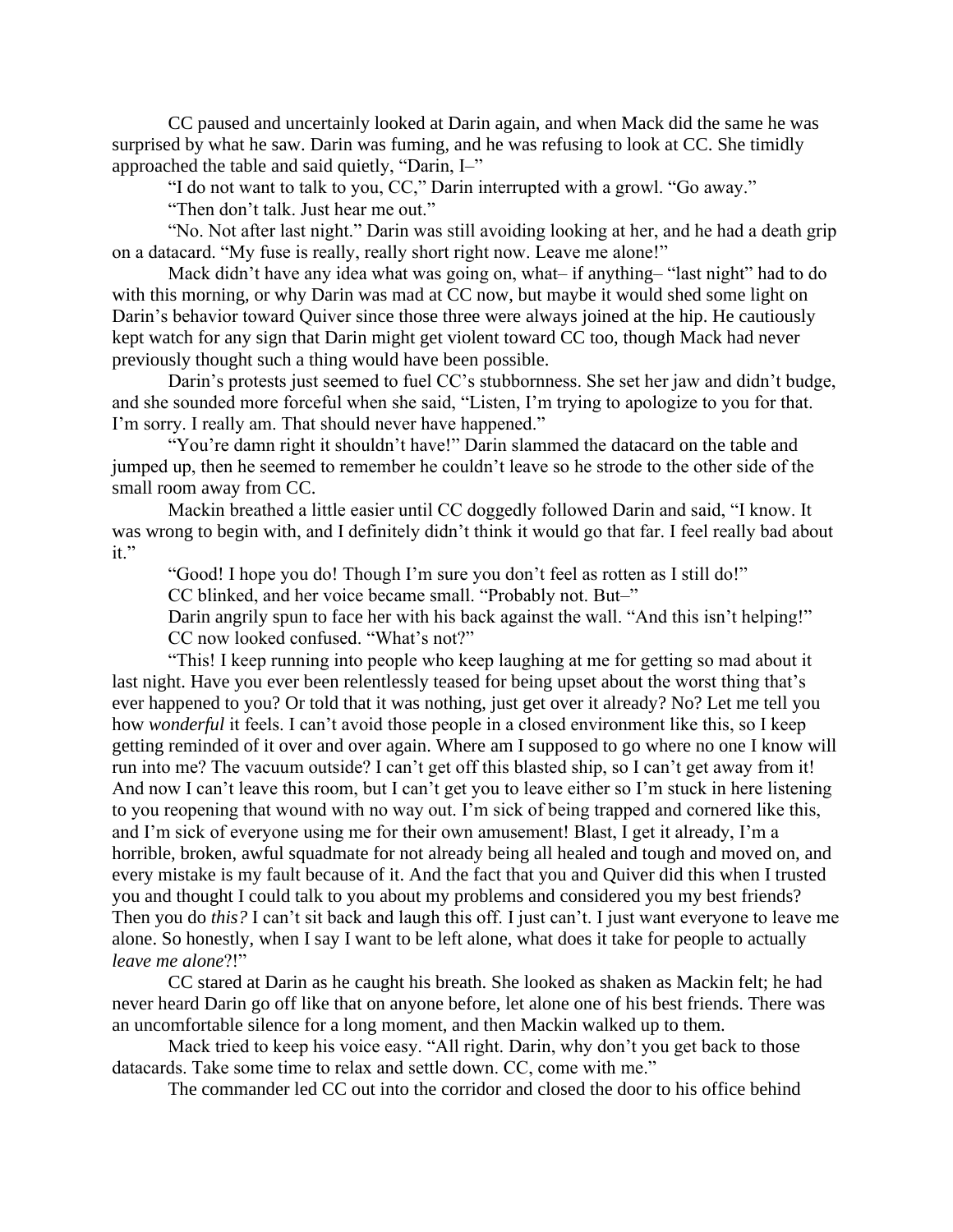CC paused and uncertainly looked at Darin again, and when Mack did the same he was surprised by what he saw. Darin was fuming, and he was refusing to look at CC. She timidly approached the table and said quietly, "Darin, I–"

"I do not want to talk to you, CC," Darin interrupted with a growl. "Go away."

"Then don't talk. Just hear me out."

"No. Not after last night." Darin was still avoiding looking at her, and he had a death grip on a datacard. "My fuse is really, really short right now. Leave me alone!"

Mack didn't have any idea what was going on, what– if anything– "last night" had to do with this morning, or why Darin was mad at CC now, but maybe it would shed some light on Darin's behavior toward Quiver since those three were always joined at the hip. He cautiously kept watch for any sign that Darin might get violent toward CC too, though Mack had never previously thought such a thing would have been possible.

Darin's protests just seemed to fuel CC's stubbornness. She set her jaw and didn't budge, and she sounded more forceful when she said, "Listen, I'm trying to apologize to you for that. I'm sorry. I really am. That should never have happened."

"You're damn right it shouldn't have!" Darin slammed the datacard on the table and jumped up, then he seemed to remember he couldn't leave so he strode to the other side of the small room away from CC.

Mackin breathed a little easier until CC doggedly followed Darin and said, "I know. It was wrong to begin with, and I definitely didn't think it would go that far. I feel really bad about it."

"Good! I hope you do! Though I'm sure you don't feel as rotten as I still do!"

CC blinked, and her voice became small. "Probably not. But–"

Darin angrily spun to face her with his back against the wall. "And this isn't helping!" CC now looked confused. "What's not?"

"This! I keep running into people who keep laughing at me for getting so mad about it last night. Have you ever been relentlessly teased for being upset about the worst thing that's ever happened to you? Or told that it was nothing, just get over it already? No? Let me tell you how *wonderful* it feels. I can't avoid those people in a closed environment like this, so I keep getting reminded of it over and over again. Where am I supposed to go where no one I know will run into me? The vacuum outside? I can't get off this blasted ship, so I can't get away from it! And now I can't leave this room, but I can't get you to leave either so I'm stuck in here listening to you reopening that wound with no way out. I'm sick of being trapped and cornered like this, and I'm sick of everyone using me for their own amusement! Blast, I get it already, I'm a horrible, broken, awful squadmate for not already being all healed and tough and moved on, and every mistake is my fault because of it. And the fact that you and Quiver did this when I trusted you and thought I could talk to you about my problems and considered you my best friends? Then you do *this?* I can't sit back and laugh this off. I just can't. I just want everyone to leave me alone. So honestly, when I say I want to be left alone, what does it take for people to actually *leave me alone*?!"

CC stared at Darin as he caught his breath. She looked as shaken as Mackin felt; he had never heard Darin go off like that on anyone before, let alone one of his best friends. There was an uncomfortable silence for a long moment, and then Mackin walked up to them.

Mack tried to keep his voice easy. "All right. Darin, why don't you get back to those datacards. Take some time to relax and settle down. CC, come with me."

The commander led CC out into the corridor and closed the door to his office behind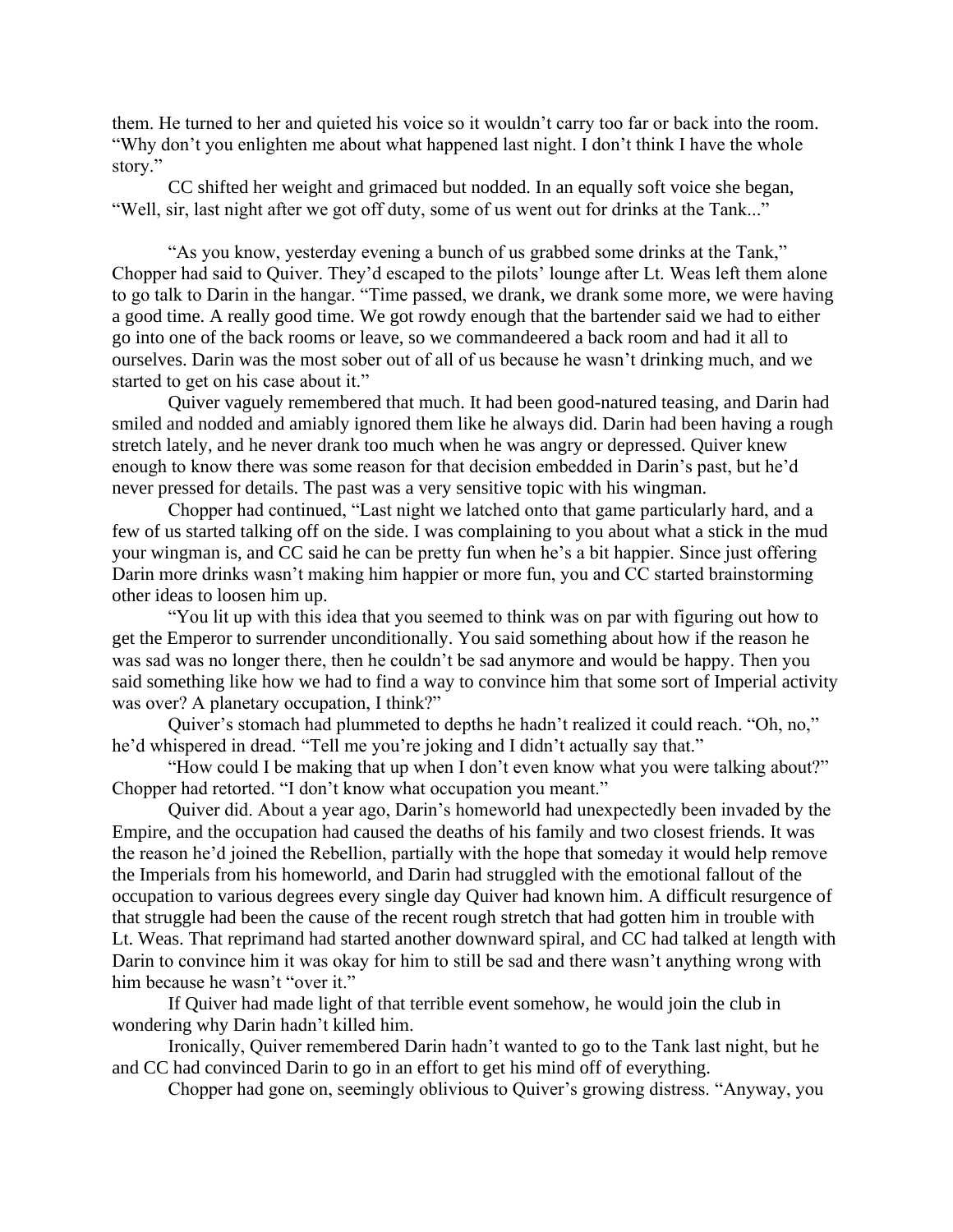them. He turned to her and quieted his voice so it wouldn't carry too far or back into the room. "Why don't you enlighten me about what happened last night. I don't think I have the whole story."

CC shifted her weight and grimaced but nodded. In an equally soft voice she began, "Well, sir, last night after we got off duty, some of us went out for drinks at the Tank..."

"As you know, yesterday evening a bunch of us grabbed some drinks at the Tank," Chopper had said to Quiver. They'd escaped to the pilots' lounge after Lt. Weas left them alone to go talk to Darin in the hangar. "Time passed, we drank, we drank some more, we were having a good time. A really good time. We got rowdy enough that the bartender said we had to either go into one of the back rooms or leave, so we commandeered a back room and had it all to ourselves. Darin was the most sober out of all of us because he wasn't drinking much, and we started to get on his case about it."

Quiver vaguely remembered that much. It had been good-natured teasing, and Darin had smiled and nodded and amiably ignored them like he always did. Darin had been having a rough stretch lately, and he never drank too much when he was angry or depressed. Quiver knew enough to know there was some reason for that decision embedded in Darin's past, but he'd never pressed for details. The past was a very sensitive topic with his wingman.

Chopper had continued, "Last night we latched onto that game particularly hard, and a few of us started talking off on the side. I was complaining to you about what a stick in the mud your wingman is, and CC said he can be pretty fun when he's a bit happier. Since just offering Darin more drinks wasn't making him happier or more fun, you and CC started brainstorming other ideas to loosen him up.

"You lit up with this idea that you seemed to think was on par with figuring out how to get the Emperor to surrender unconditionally. You said something about how if the reason he was sad was no longer there, then he couldn't be sad anymore and would be happy. Then you said something like how we had to find a way to convince him that some sort of Imperial activity was over? A planetary occupation, I think?"

Quiver's stomach had plummeted to depths he hadn't realized it could reach. "Oh, no," he'd whispered in dread. "Tell me you're joking and I didn't actually say that."

"How could I be making that up when I don't even know what you were talking about?" Chopper had retorted. "I don't know what occupation you meant."

Quiver did. About a year ago, Darin's homeworld had unexpectedly been invaded by the Empire, and the occupation had caused the deaths of his family and two closest friends. It was the reason he'd joined the Rebellion, partially with the hope that someday it would help remove the Imperials from his homeworld, and Darin had struggled with the emotional fallout of the occupation to various degrees every single day Quiver had known him. A difficult resurgence of that struggle had been the cause of the recent rough stretch that had gotten him in trouble with Lt. Weas. That reprimand had started another downward spiral, and CC had talked at length with Darin to convince him it was okay for him to still be sad and there wasn't anything wrong with him because he wasn't "over it."

If Quiver had made light of that terrible event somehow, he would join the club in wondering why Darin hadn't killed him.

Ironically, Quiver remembered Darin hadn't wanted to go to the Tank last night, but he and CC had convinced Darin to go in an effort to get his mind off of everything.

Chopper had gone on, seemingly oblivious to Quiver's growing distress. "Anyway, you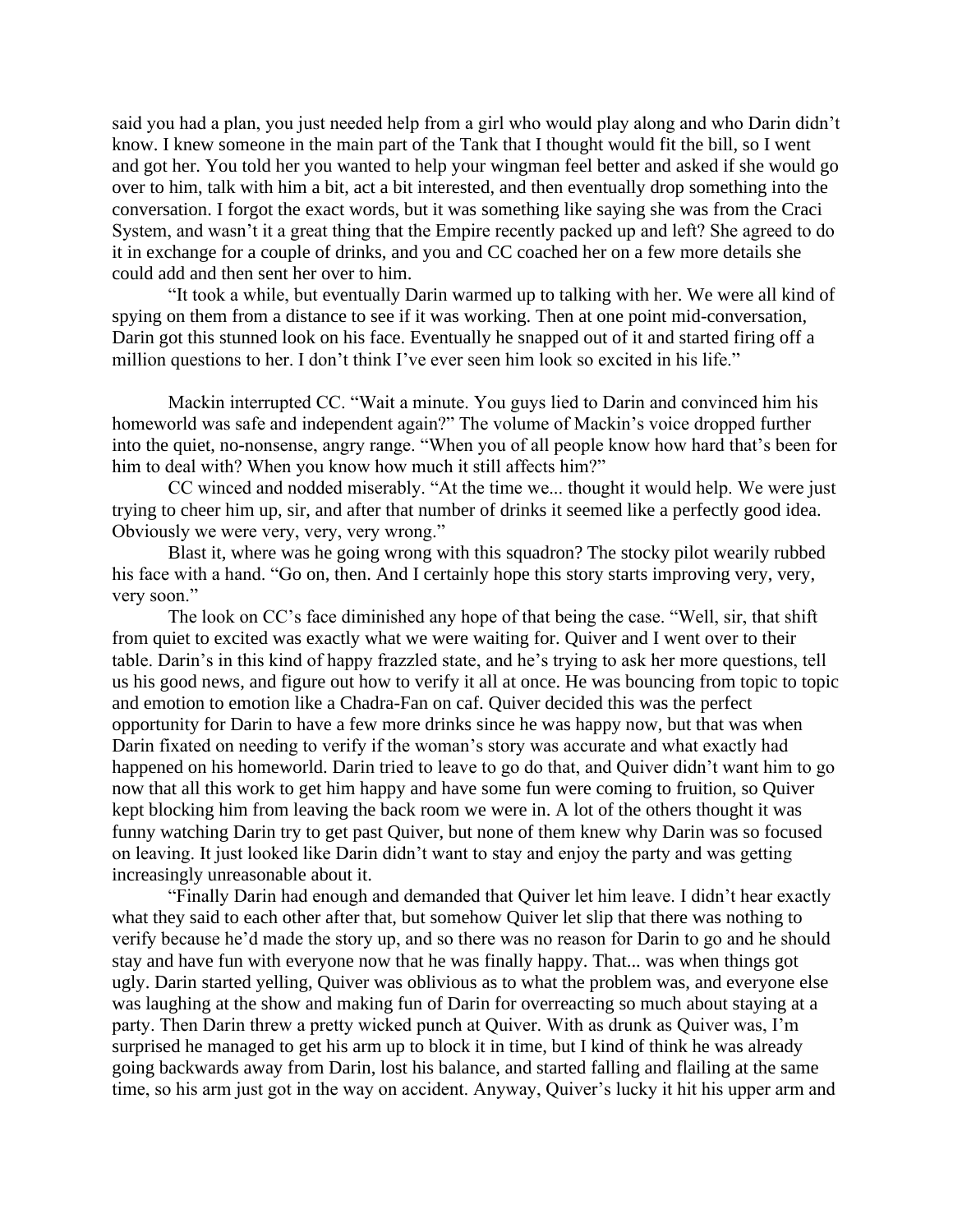said you had a plan, you just needed help from a girl who would play along and who Darin didn't know. I knew someone in the main part of the Tank that I thought would fit the bill, so I went and got her. You told her you wanted to help your wingman feel better and asked if she would go over to him, talk with him a bit, act a bit interested, and then eventually drop something into the conversation. I forgot the exact words, but it was something like saying she was from the Craci System, and wasn't it a great thing that the Empire recently packed up and left? She agreed to do it in exchange for a couple of drinks, and you and CC coached her on a few more details she could add and then sent her over to him.

"It took a while, but eventually Darin warmed up to talking with her. We were all kind of spying on them from a distance to see if it was working. Then at one point mid-conversation, Darin got this stunned look on his face. Eventually he snapped out of it and started firing off a million questions to her. I don't think I've ever seen him look so excited in his life."

Mackin interrupted CC. "Wait a minute. You guys lied to Darin and convinced him his homeworld was safe and independent again?" The volume of Mackin's voice dropped further into the quiet, no-nonsense, angry range. "When you of all people know how hard that's been for him to deal with? When you know how much it still affects him?"

CC winced and nodded miserably. "At the time we... thought it would help. We were just trying to cheer him up, sir, and after that number of drinks it seemed like a perfectly good idea. Obviously we were very, very, very wrong."

Blast it, where was he going wrong with this squadron? The stocky pilot wearily rubbed his face with a hand. "Go on, then. And I certainly hope this story starts improving very, very, very soon."

The look on CC's face diminished any hope of that being the case. "Well, sir, that shift from quiet to excited was exactly what we were waiting for. Quiver and I went over to their table. Darin's in this kind of happy frazzled state, and he's trying to ask her more questions, tell us his good news, and figure out how to verify it all at once. He was bouncing from topic to topic and emotion to emotion like a Chadra-Fan on caf. Quiver decided this was the perfect opportunity for Darin to have a few more drinks since he was happy now, but that was when Darin fixated on needing to verify if the woman's story was accurate and what exactly had happened on his homeworld. Darin tried to leave to go do that, and Quiver didn't want him to go now that all this work to get him happy and have some fun were coming to fruition, so Quiver kept blocking him from leaving the back room we were in. A lot of the others thought it was funny watching Darin try to get past Quiver, but none of them knew why Darin was so focused on leaving. It just looked like Darin didn't want to stay and enjoy the party and was getting increasingly unreasonable about it.

"Finally Darin had enough and demanded that Quiver let him leave. I didn't hear exactly what they said to each other after that, but somehow Quiver let slip that there was nothing to verify because he'd made the story up, and so there was no reason for Darin to go and he should stay and have fun with everyone now that he was finally happy. That... was when things got ugly. Darin started yelling, Quiver was oblivious as to what the problem was, and everyone else was laughing at the show and making fun of Darin for overreacting so much about staying at a party. Then Darin threw a pretty wicked punch at Quiver. With as drunk as Quiver was, I'm surprised he managed to get his arm up to block it in time, but I kind of think he was already going backwards away from Darin, lost his balance, and started falling and flailing at the same time, so his arm just got in the way on accident. Anyway, Quiver's lucky it hit his upper arm and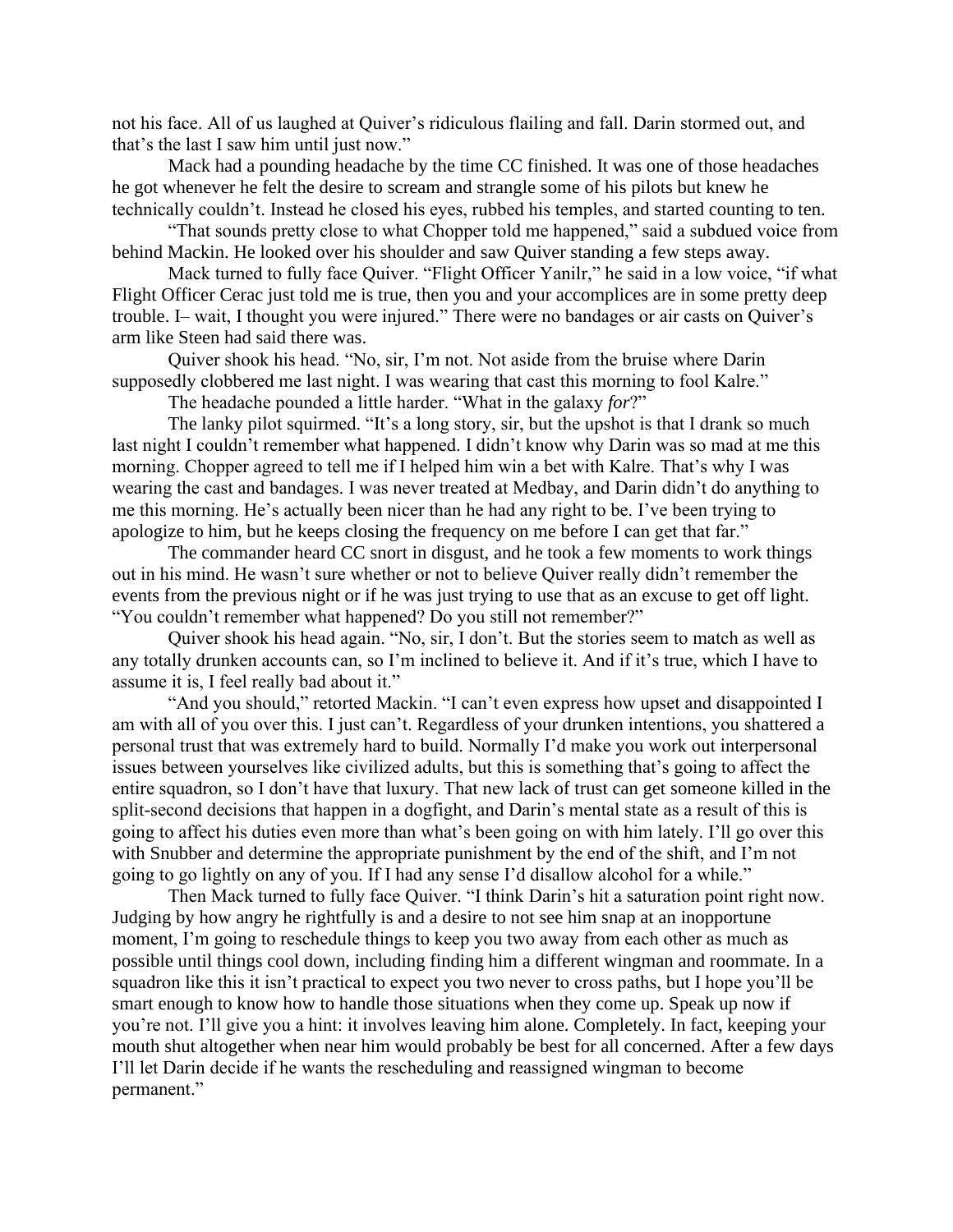not his face. All of us laughed at Quiver's ridiculous flailing and fall. Darin stormed out, and that's the last I saw him until just now."

Mack had a pounding headache by the time CC finished. It was one of those headaches he got whenever he felt the desire to scream and strangle some of his pilots but knew he technically couldn't. Instead he closed his eyes, rubbed his temples, and started counting to ten.

"That sounds pretty close to what Chopper told me happened," said a subdued voice from behind Mackin. He looked over his shoulder and saw Quiver standing a few steps away.

Mack turned to fully face Quiver. "Flight Officer Yanilr," he said in a low voice, "if what Flight Officer Cerac just told me is true, then you and your accomplices are in some pretty deep trouble. I– wait, I thought you were injured." There were no bandages or air casts on Quiver's arm like Steen had said there was.

Quiver shook his head. "No, sir, I'm not. Not aside from the bruise where Darin supposedly clobbered me last night. I was wearing that cast this morning to fool Kalre."

The headache pounded a little harder. "What in the galaxy *for*?"

The lanky pilot squirmed. "It's a long story, sir, but the upshot is that I drank so much last night I couldn't remember what happened. I didn't know why Darin was so mad at me this morning. Chopper agreed to tell me if I helped him win a bet with Kalre. That's why I was wearing the cast and bandages. I was never treated at Medbay, and Darin didn't do anything to me this morning. He's actually been nicer than he had any right to be. I've been trying to apologize to him, but he keeps closing the frequency on me before I can get that far."

The commander heard CC snort in disgust, and he took a few moments to work things out in his mind. He wasn't sure whether or not to believe Quiver really didn't remember the events from the previous night or if he was just trying to use that as an excuse to get off light. "You couldn't remember what happened? Do you still not remember?"

Quiver shook his head again. "No, sir, I don't. But the stories seem to match as well as any totally drunken accounts can, so I'm inclined to believe it. And if it's true, which I have to assume it is, I feel really bad about it."

"And you should," retorted Mackin. "I can't even express how upset and disappointed I am with all of you over this. I just can't. Regardless of your drunken intentions, you shattered a personal trust that was extremely hard to build. Normally I'd make you work out interpersonal issues between yourselves like civilized adults, but this is something that's going to affect the entire squadron, so I don't have that luxury. That new lack of trust can get someone killed in the split-second decisions that happen in a dogfight, and Darin's mental state as a result of this is going to affect his duties even more than what's been going on with him lately. I'll go over this with Snubber and determine the appropriate punishment by the end of the shift, and I'm not going to go lightly on any of you. If I had any sense I'd disallow alcohol for a while."

Then Mack turned to fully face Quiver. "I think Darin's hit a saturation point right now. Judging by how angry he rightfully is and a desire to not see him snap at an inopportune moment, I'm going to reschedule things to keep you two away from each other as much as possible until things cool down, including finding him a different wingman and roommate. In a squadron like this it isn't practical to expect you two never to cross paths, but I hope you'll be smart enough to know how to handle those situations when they come up. Speak up now if you're not. I'll give you a hint: it involves leaving him alone. Completely. In fact, keeping your mouth shut altogether when near him would probably be best for all concerned. After a few days I'll let Darin decide if he wants the rescheduling and reassigned wingman to become permanent."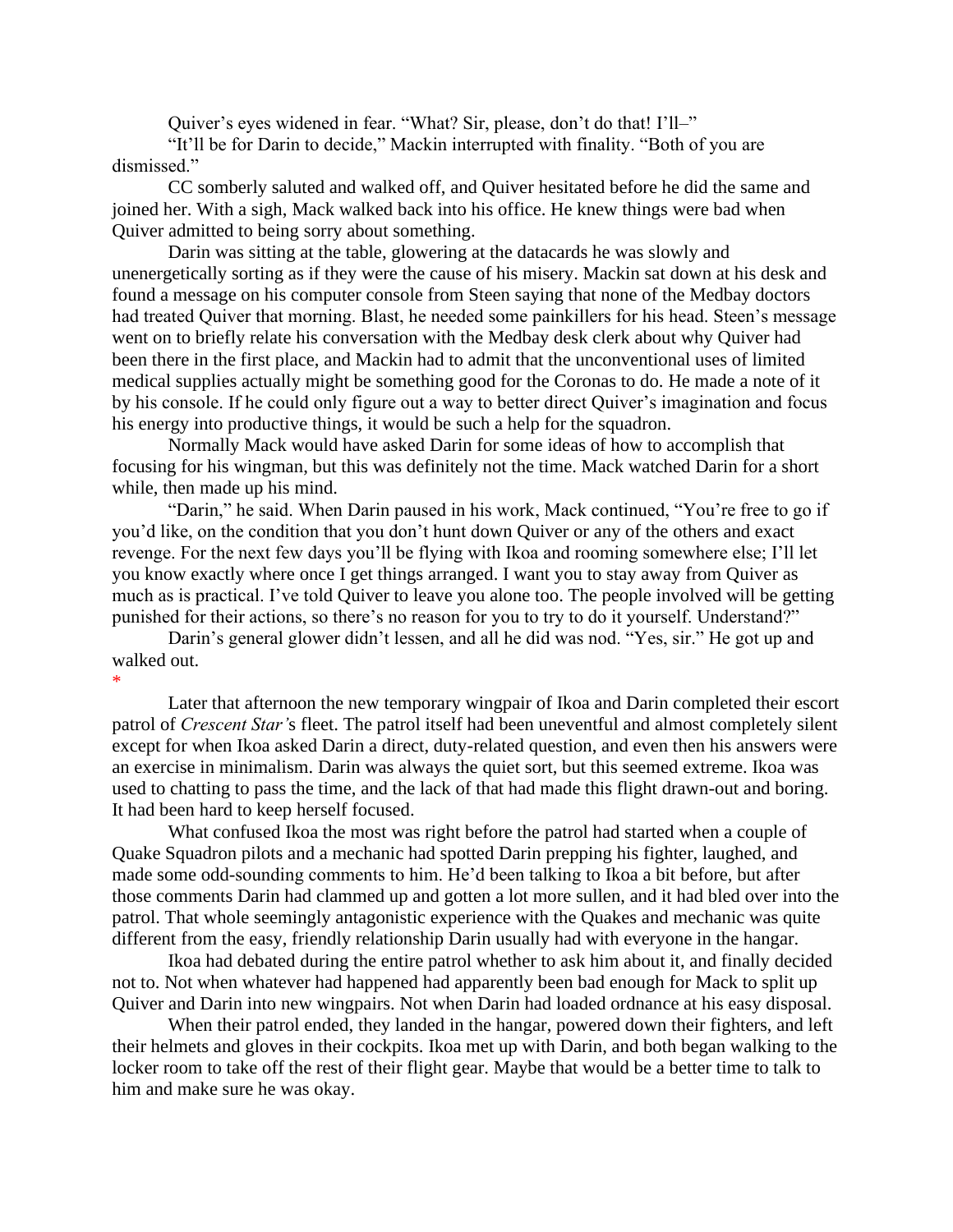Quiver's eyes widened in fear. "What? Sir, please, don't do that! I'll-"

"It'll be for Darin to decide," Mackin interrupted with finality. "Both of you are dismissed."

CC somberly saluted and walked off, and Quiver hesitated before he did the same and joined her. With a sigh, Mack walked back into his office. He knew things were bad when Quiver admitted to being sorry about something.

Darin was sitting at the table, glowering at the datacards he was slowly and unenergetically sorting as if they were the cause of his misery. Mackin sat down at his desk and found a message on his computer console from Steen saying that none of the Medbay doctors had treated Quiver that morning. Blast, he needed some painkillers for his head. Steen's message went on to briefly relate his conversation with the Medbay desk clerk about why Quiver had been there in the first place, and Mackin had to admit that the unconventional uses of limited medical supplies actually might be something good for the Coronas to do. He made a note of it by his console. If he could only figure out a way to better direct Quiver's imagination and focus his energy into productive things, it would be such a help for the squadron.

Normally Mack would have asked Darin for some ideas of how to accomplish that focusing for his wingman, but this was definitely not the time. Mack watched Darin for a short while, then made up his mind.

"Darin," he said. When Darin paused in his work, Mack continued, "You're free to go if you'd like, on the condition that you don't hunt down Quiver or any of the others and exact revenge. For the next few days you'll be flying with Ikoa and rooming somewhere else; I'll let you know exactly where once I get things arranged. I want you to stay away from Quiver as much as is practical. I've told Quiver to leave you alone too. The people involved will be getting punished for their actions, so there's no reason for you to try to do it yourself. Understand?"

Darin's general glower didn't lessen, and all he did was nod. "Yes, sir." He got up and walked out.

\* Later that afternoon the new temporary wingpair of Ikoa and Darin completed their escort patrol of *Crescent Star'*s fleet. The patrol itself had been uneventful and almost completely silent except for when Ikoa asked Darin a direct, duty-related question, and even then his answers were an exercise in minimalism. Darin was always the quiet sort, but this seemed extreme. Ikoa was used to chatting to pass the time, and the lack of that had made this flight drawn-out and boring. It had been hard to keep herself focused.

What confused Ikoa the most was right before the patrol had started when a couple of Quake Squadron pilots and a mechanic had spotted Darin prepping his fighter, laughed, and made some odd-sounding comments to him. He'd been talking to Ikoa a bit before, but after those comments Darin had clammed up and gotten a lot more sullen, and it had bled over into the patrol. That whole seemingly antagonistic experience with the Quakes and mechanic was quite different from the easy, friendly relationship Darin usually had with everyone in the hangar.

Ikoa had debated during the entire patrol whether to ask him about it, and finally decided not to. Not when whatever had happened had apparently been bad enough for Mack to split up Quiver and Darin into new wingpairs. Not when Darin had loaded ordnance at his easy disposal.

When their patrol ended, they landed in the hangar, powered down their fighters, and left their helmets and gloves in their cockpits. Ikoa met up with Darin, and both began walking to the locker room to take off the rest of their flight gear. Maybe that would be a better time to talk to him and make sure he was okay.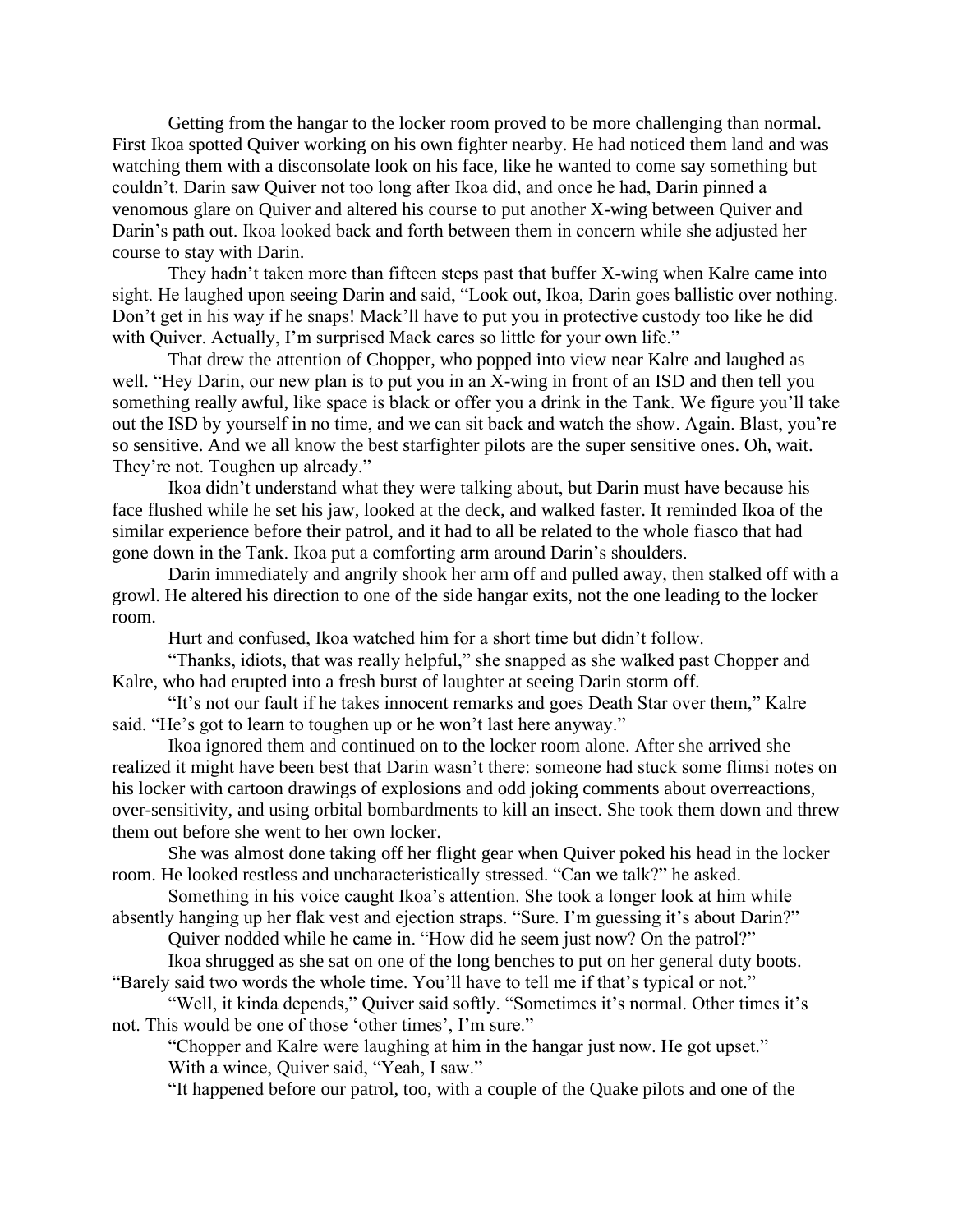Getting from the hangar to the locker room proved to be more challenging than normal. First Ikoa spotted Quiver working on his own fighter nearby. He had noticed them land and was watching them with a disconsolate look on his face, like he wanted to come say something but couldn't. Darin saw Quiver not too long after Ikoa did, and once he had, Darin pinned a venomous glare on Quiver and altered his course to put another X-wing between Quiver and Darin's path out. Ikoa looked back and forth between them in concern while she adjusted her course to stay with Darin.

They hadn't taken more than fifteen steps past that buffer X-wing when Kalre came into sight. He laughed upon seeing Darin and said, "Look out, Ikoa, Darin goes ballistic over nothing. Don't get in his way if he snaps! Mack'll have to put you in protective custody too like he did with Quiver. Actually, I'm surprised Mack cares so little for your own life."

That drew the attention of Chopper, who popped into view near Kalre and laughed as well. "Hey Darin, our new plan is to put you in an X-wing in front of an ISD and then tell you something really awful, like space is black or offer you a drink in the Tank. We figure you'll take out the ISD by yourself in no time, and we can sit back and watch the show. Again. Blast, you're so sensitive. And we all know the best starfighter pilots are the super sensitive ones. Oh, wait. They're not. Toughen up already."

Ikoa didn't understand what they were talking about, but Darin must have because his face flushed while he set his jaw, looked at the deck, and walked faster. It reminded Ikoa of the similar experience before their patrol, and it had to all be related to the whole fiasco that had gone down in the Tank. Ikoa put a comforting arm around Darin's shoulders.

Darin immediately and angrily shook her arm off and pulled away, then stalked off with a growl. He altered his direction to one of the side hangar exits, not the one leading to the locker room.

Hurt and confused, Ikoa watched him for a short time but didn't follow.

"Thanks, idiots, that was really helpful," she snapped as she walked past Chopper and Kalre, who had erupted into a fresh burst of laughter at seeing Darin storm off.

"It's not our fault if he takes innocent remarks and goes Death Star over them," Kalre said. "He's got to learn to toughen up or he won't last here anyway."

Ikoa ignored them and continued on to the locker room alone. After she arrived she realized it might have been best that Darin wasn't there: someone had stuck some flimsi notes on his locker with cartoon drawings of explosions and odd joking comments about overreactions, over-sensitivity, and using orbital bombardments to kill an insect. She took them down and threw them out before she went to her own locker.

She was almost done taking off her flight gear when Quiver poked his head in the locker room. He looked restless and uncharacteristically stressed. "Can we talk?" he asked.

Something in his voice caught Ikoa's attention. She took a longer look at him while absently hanging up her flak vest and ejection straps. "Sure. I'm guessing it's about Darin?"

Quiver nodded while he came in. "How did he seem just now? On the patrol?"

Ikoa shrugged as she sat on one of the long benches to put on her general duty boots. "Barely said two words the whole time. You'll have to tell me if that's typical or not."

"Well, it kinda depends," Quiver said softly. "Sometimes it's normal. Other times it's not. This would be one of those 'other times', I'm sure."

"Chopper and Kalre were laughing at him in the hangar just now. He got upset." With a wince, Quiver said, "Yeah, I saw."

"It happened before our patrol, too, with a couple of the Quake pilots and one of the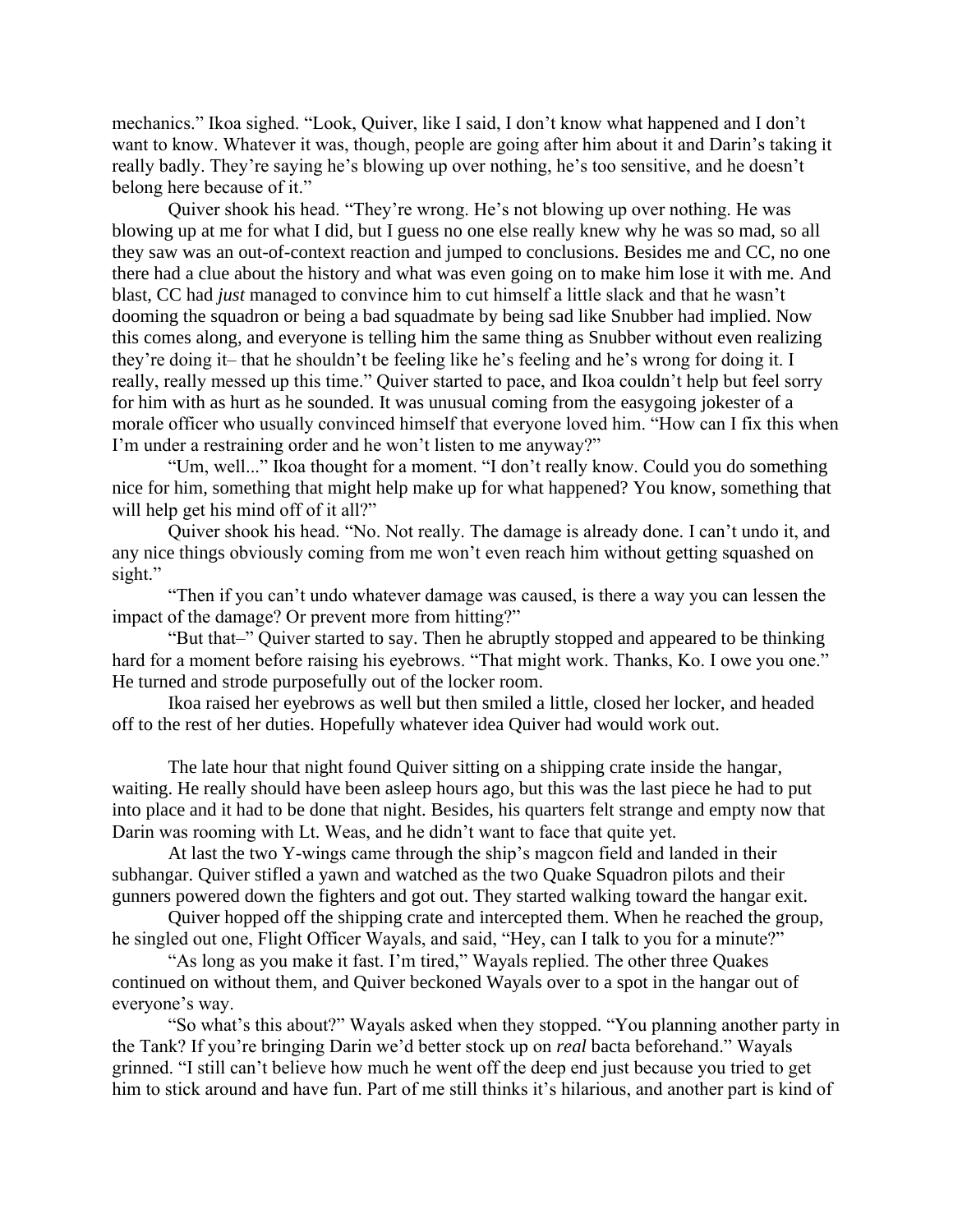mechanics." Ikoa sighed. "Look, Quiver, like I said, I don't know what happened and I don't want to know. Whatever it was, though, people are going after him about it and Darin's taking it really badly. They're saying he's blowing up over nothing, he's too sensitive, and he doesn't belong here because of it."

Quiver shook his head. "They're wrong. He's not blowing up over nothing. He was blowing up at me for what I did, but I guess no one else really knew why he was so mad, so all they saw was an out-of-context reaction and jumped to conclusions. Besides me and CC, no one there had a clue about the history and what was even going on to make him lose it with me. And blast, CC had *just* managed to convince him to cut himself a little slack and that he wasn't dooming the squadron or being a bad squadmate by being sad like Snubber had implied. Now this comes along, and everyone is telling him the same thing as Snubber without even realizing they're doing it– that he shouldn't be feeling like he's feeling and he's wrong for doing it. I really, really messed up this time." Quiver started to pace, and Ikoa couldn't help but feel sorry for him with as hurt as he sounded. It was unusual coming from the easygoing jokester of a morale officer who usually convinced himself that everyone loved him. "How can I fix this when I'm under a restraining order and he won't listen to me anyway?"

"Um, well..." Ikoa thought for a moment. "I don't really know. Could you do something nice for him, something that might help make up for what happened? You know, something that will help get his mind off of it all?"

Quiver shook his head. "No. Not really. The damage is already done. I can't undo it, and any nice things obviously coming from me won't even reach him without getting squashed on sight."

"Then if you can't undo whatever damage was caused, is there a way you can lessen the impact of the damage? Or prevent more from hitting?"

"But that–" Quiver started to say. Then he abruptly stopped and appeared to be thinking hard for a moment before raising his eyebrows. "That might work. Thanks, Ko. I owe you one." He turned and strode purposefully out of the locker room.

Ikoa raised her eyebrows as well but then smiled a little, closed her locker, and headed off to the rest of her duties. Hopefully whatever idea Quiver had would work out.

The late hour that night found Quiver sitting on a shipping crate inside the hangar, waiting. He really should have been asleep hours ago, but this was the last piece he had to put into place and it had to be done that night. Besides, his quarters felt strange and empty now that Darin was rooming with Lt. Weas, and he didn't want to face that quite yet.

At last the two Y-wings came through the ship's magcon field and landed in their subhangar. Quiver stifled a yawn and watched as the two Quake Squadron pilots and their gunners powered down the fighters and got out. They started walking toward the hangar exit.

Quiver hopped off the shipping crate and intercepted them. When he reached the group, he singled out one, Flight Officer Wayals, and said, "Hey, can I talk to you for a minute?"

"As long as you make it fast. I'm tired," Wayals replied. The other three Quakes continued on without them, and Quiver beckoned Wayals over to a spot in the hangar out of everyone's way.

"So what's this about?" Wayals asked when they stopped. "You planning another party in the Tank? If you're bringing Darin we'd better stock up on *real* bacta beforehand." Wayals grinned. "I still can't believe how much he went off the deep end just because you tried to get him to stick around and have fun. Part of me still thinks it's hilarious, and another part is kind of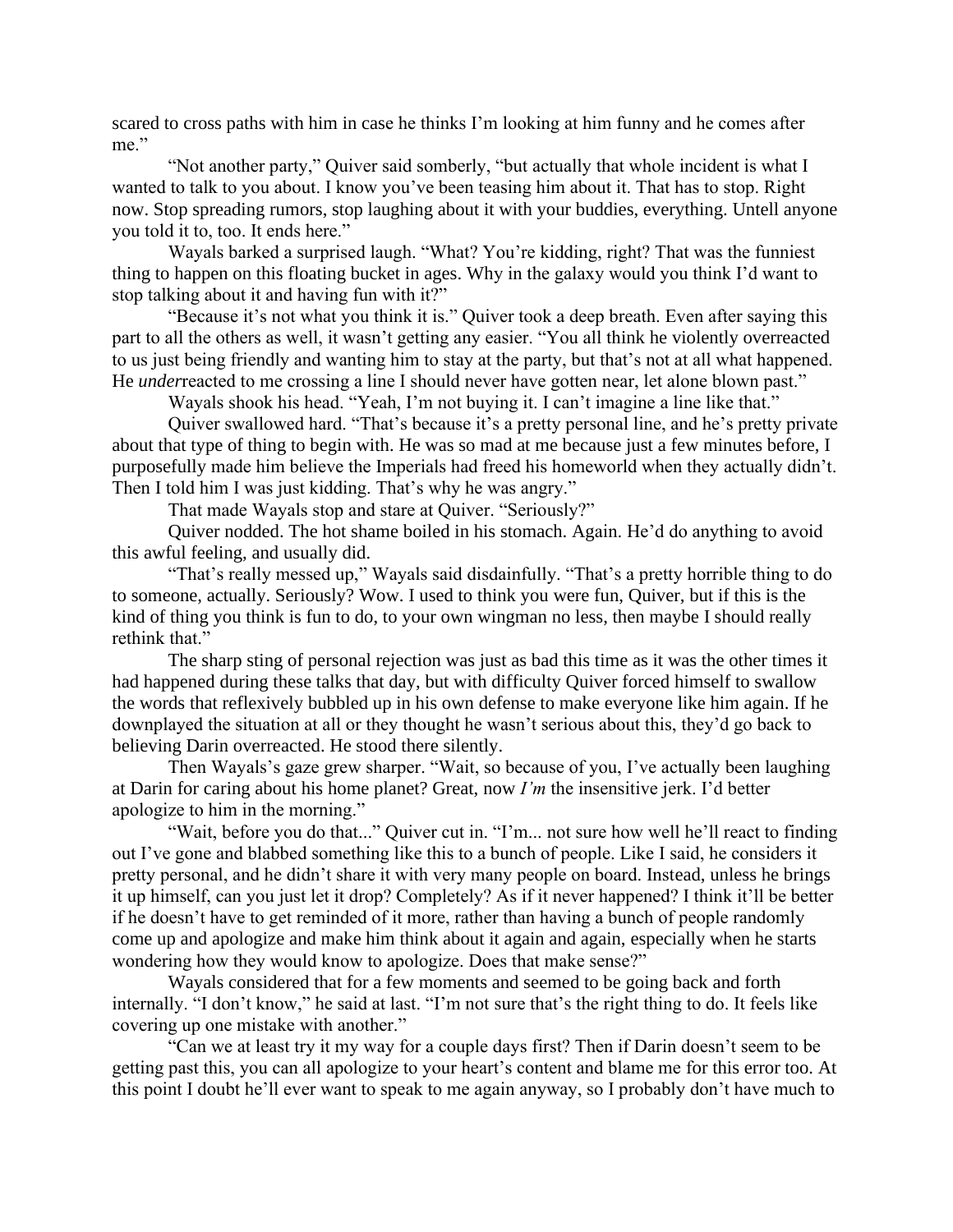scared to cross paths with him in case he thinks I'm looking at him funny and he comes after me."

"Not another party," Quiver said somberly, "but actually that whole incident is what I wanted to talk to you about. I know you've been teasing him about it. That has to stop. Right now. Stop spreading rumors, stop laughing about it with your buddies, everything. Untell anyone you told it to, too. It ends here."

Wayals barked a surprised laugh. "What? You're kidding, right? That was the funniest thing to happen on this floating bucket in ages. Why in the galaxy would you think I'd want to stop talking about it and having fun with it?"

"Because it's not what you think it is." Quiver took a deep breath. Even after saying this part to all the others as well, it wasn't getting any easier. "You all think he violently overreacted to us just being friendly and wanting him to stay at the party, but that's not at all what happened. He *underreacted* to me crossing a line I should never have gotten near, let alone blown past."

Wayals shook his head. "Yeah, I'm not buying it. I can't imagine a line like that."

Quiver swallowed hard. "That's because it's a pretty personal line, and he's pretty private about that type of thing to begin with. He was so mad at me because just a few minutes before, I purposefully made him believe the Imperials had freed his homeworld when they actually didn't. Then I told him I was just kidding. That's why he was angry."

That made Wayals stop and stare at Quiver. "Seriously?"

Quiver nodded. The hot shame boiled in his stomach. Again. He'd do anything to avoid this awful feeling, and usually did.

"That's really messed up," Wayals said disdainfully. "That's a pretty horrible thing to do to someone, actually. Seriously? Wow. I used to think you were fun, Quiver, but if this is the kind of thing you think is fun to do, to your own wingman no less, then maybe I should really rethink that."

The sharp sting of personal rejection was just as bad this time as it was the other times it had happened during these talks that day, but with difficulty Quiver forced himself to swallow the words that reflexively bubbled up in his own defense to make everyone like him again. If he downplayed the situation at all or they thought he wasn't serious about this, they'd go back to believing Darin overreacted. He stood there silently.

Then Wayals's gaze grew sharper. "Wait, so because of you, I've actually been laughing at Darin for caring about his home planet? Great, now *I'm* the insensitive jerk. I'd better apologize to him in the morning."

"Wait, before you do that..." Quiver cut in. "I'm... not sure how well he'll react to finding out I've gone and blabbed something like this to a bunch of people. Like I said, he considers it pretty personal, and he didn't share it with very many people on board. Instead, unless he brings it up himself, can you just let it drop? Completely? As if it never happened? I think it'll be better if he doesn't have to get reminded of it more, rather than having a bunch of people randomly come up and apologize and make him think about it again and again, especially when he starts wondering how they would know to apologize. Does that make sense?"

Wayals considered that for a few moments and seemed to be going back and forth internally. "I don't know," he said at last. "I'm not sure that's the right thing to do. It feels like covering up one mistake with another."

"Can we at least try it my way for a couple days first? Then if Darin doesn't seem to be getting past this, you can all apologize to your heart's content and blame me for this error too. At this point I doubt he'll ever want to speak to me again anyway, so I probably don't have much to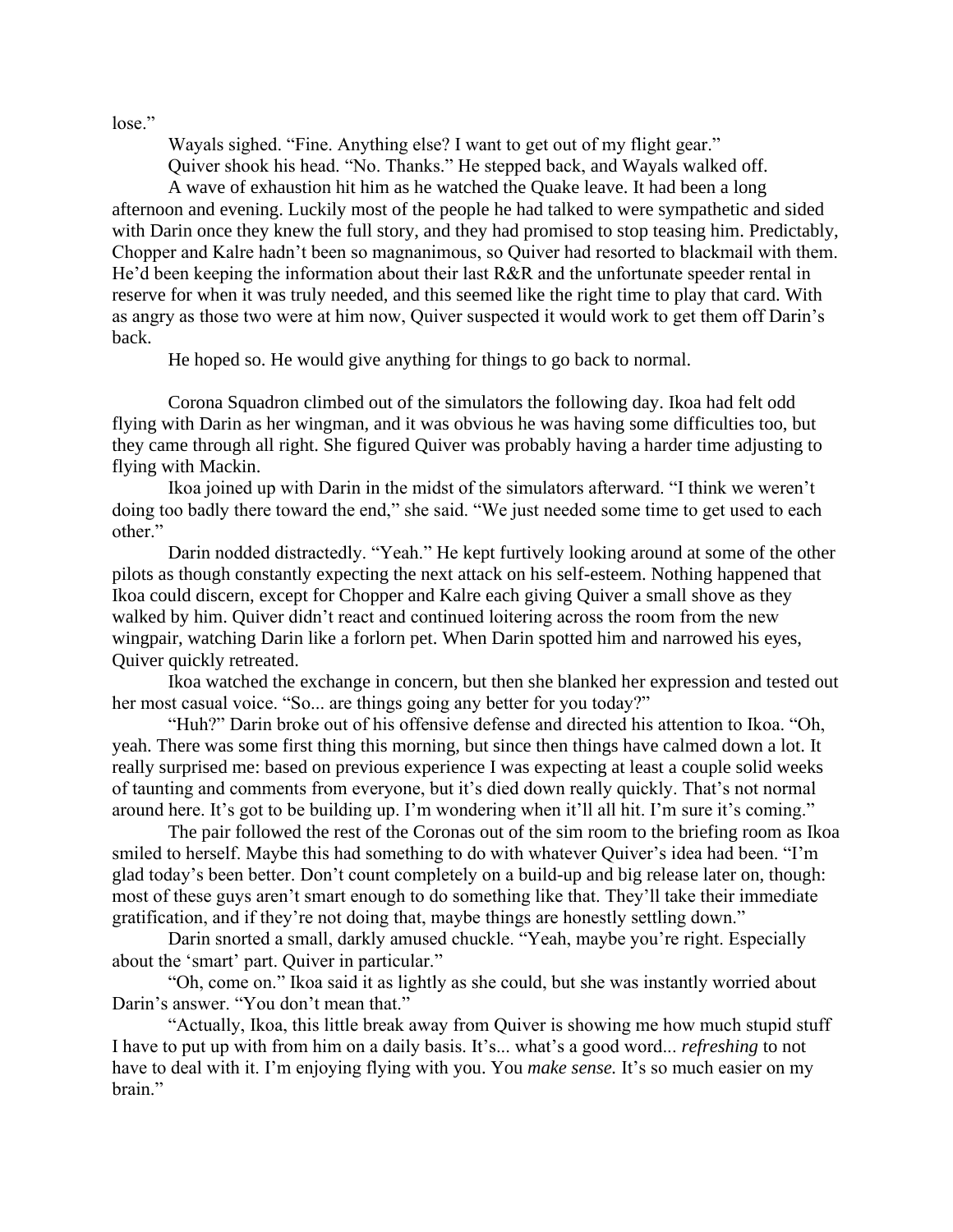lose."

Wayals sighed. "Fine. Anything else? I want to get out of my flight gear."

Quiver shook his head. "No. Thanks." He stepped back, and Wayals walked off.

A wave of exhaustion hit him as he watched the Quake leave. It had been a long afternoon and evening. Luckily most of the people he had talked to were sympathetic and sided with Darin once they knew the full story, and they had promised to stop teasing him. Predictably, Chopper and Kalre hadn't been so magnanimous, so Quiver had resorted to blackmail with them. He'd been keeping the information about their last R&R and the unfortunate speeder rental in reserve for when it was truly needed, and this seemed like the right time to play that card. With as angry as those two were at him now, Quiver suspected it would work to get them off Darin's back.

He hoped so. He would give anything for things to go back to normal.

Corona Squadron climbed out of the simulators the following day. Ikoa had felt odd flying with Darin as her wingman, and it was obvious he was having some difficulties too, but they came through all right. She figured Quiver was probably having a harder time adjusting to flying with Mackin.

Ikoa joined up with Darin in the midst of the simulators afterward. "I think we weren't doing too badly there toward the end," she said. "We just needed some time to get used to each other."

Darin nodded distractedly. "Yeah." He kept furtively looking around at some of the other pilots as though constantly expecting the next attack on his self-esteem. Nothing happened that Ikoa could discern, except for Chopper and Kalre each giving Quiver a small shove as they walked by him. Quiver didn't react and continued loitering across the room from the new wingpair, watching Darin like a forlorn pet. When Darin spotted him and narrowed his eyes, Quiver quickly retreated.

Ikoa watched the exchange in concern, but then she blanked her expression and tested out her most casual voice. "So... are things going any better for you today?"

"Huh?" Darin broke out of his offensive defense and directed his attention to Ikoa. "Oh, yeah. There was some first thing this morning, but since then things have calmed down a lot. It really surprised me: based on previous experience I was expecting at least a couple solid weeks of taunting and comments from everyone, but it's died down really quickly. That's not normal around here. It's got to be building up. I'm wondering when it'll all hit. I'm sure it's coming."

The pair followed the rest of the Coronas out of the sim room to the briefing room as Ikoa smiled to herself. Maybe this had something to do with whatever Quiver's idea had been. "I'm glad today's been better. Don't count completely on a build-up and big release later on, though: most of these guys aren't smart enough to do something like that. They'll take their immediate gratification, and if they're not doing that, maybe things are honestly settling down."

Darin snorted a small, darkly amused chuckle. "Yeah, maybe you're right. Especially about the 'smart' part. Quiver in particular."

"Oh, come on." Ikoa said it as lightly as she could, but she was instantly worried about Darin's answer. "You don't mean that."

"Actually, Ikoa, this little break away from Quiver is showing me how much stupid stuff I have to put up with from him on a daily basis. It's... what's a good word... *refreshing* to not have to deal with it. I'm enjoying flying with you. You *make sense.* It's so much easier on my brain."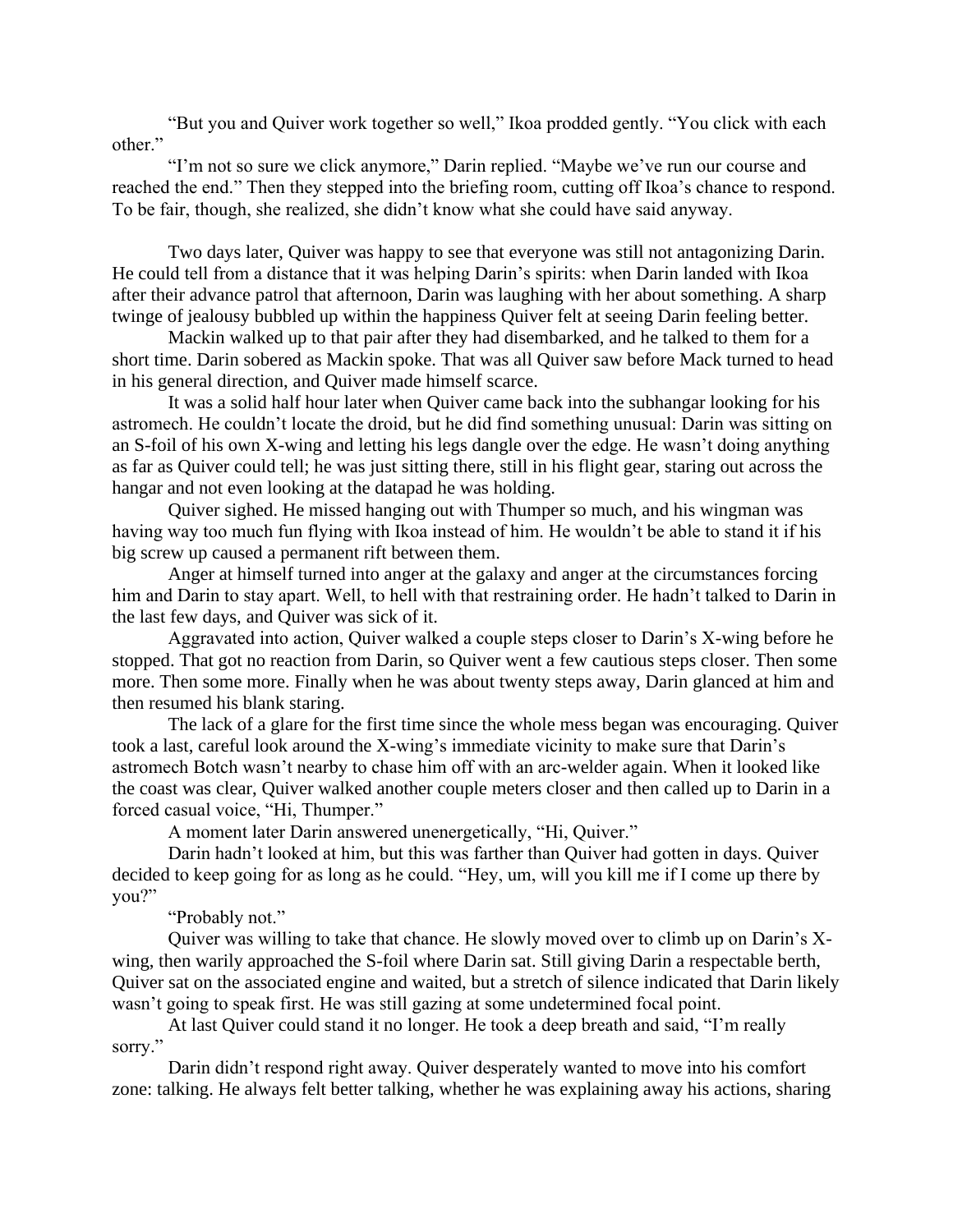"But you and Quiver work together so well," Ikoa prodded gently. "You click with each other."

"I'm not so sure we click anymore," Darin replied. "Maybe we've run our course and reached the end." Then they stepped into the briefing room, cutting off Ikoa's chance to respond. To be fair, though, she realized, she didn't know what she could have said anyway.

Two days later, Quiver was happy to see that everyone was still not antagonizing Darin. He could tell from a distance that it was helping Darin's spirits: when Darin landed with Ikoa after their advance patrol that afternoon, Darin was laughing with her about something. A sharp twinge of jealousy bubbled up within the happiness Quiver felt at seeing Darin feeling better.

Mackin walked up to that pair after they had disembarked, and he talked to them for a short time. Darin sobered as Mackin spoke. That was all Quiver saw before Mack turned to head in his general direction, and Quiver made himself scarce.

It was a solid half hour later when Quiver came back into the subhangar looking for his astromech. He couldn't locate the droid, but he did find something unusual: Darin was sitting on an S-foil of his own X-wing and letting his legs dangle over the edge. He wasn't doing anything as far as Quiver could tell; he was just sitting there, still in his flight gear, staring out across the hangar and not even looking at the datapad he was holding.

Quiver sighed. He missed hanging out with Thumper so much, and his wingman was having way too much fun flying with Ikoa instead of him. He wouldn't be able to stand it if his big screw up caused a permanent rift between them.

Anger at himself turned into anger at the galaxy and anger at the circumstances forcing him and Darin to stay apart. Well, to hell with that restraining order. He hadn't talked to Darin in the last few days, and Quiver was sick of it.

Aggravated into action, Quiver walked a couple steps closer to Darin's X-wing before he stopped. That got no reaction from Darin, so Quiver went a few cautious steps closer. Then some more. Then some more. Finally when he was about twenty steps away, Darin glanced at him and then resumed his blank staring.

The lack of a glare for the first time since the whole mess began was encouraging. Quiver took a last, careful look around the X-wing's immediate vicinity to make sure that Darin's astromech Botch wasn't nearby to chase him off with an arc-welder again. When it looked like the coast was clear, Quiver walked another couple meters closer and then called up to Darin in a forced casual voice, "Hi, Thumper."

A moment later Darin answered unenergetically, "Hi, Quiver."

Darin hadn't looked at him, but this was farther than Quiver had gotten in days. Quiver decided to keep going for as long as he could. "Hey, um, will you kill me if I come up there by you?"

## "Probably not."

Quiver was willing to take that chance. He slowly moved over to climb up on Darin's Xwing, then warily approached the S-foil where Darin sat. Still giving Darin a respectable berth, Quiver sat on the associated engine and waited, but a stretch of silence indicated that Darin likely wasn't going to speak first. He was still gazing at some undetermined focal point.

At last Quiver could stand it no longer. He took a deep breath and said, "I'm really sorry."

Darin didn't respond right away. Quiver desperately wanted to move into his comfort zone: talking. He always felt better talking, whether he was explaining away his actions, sharing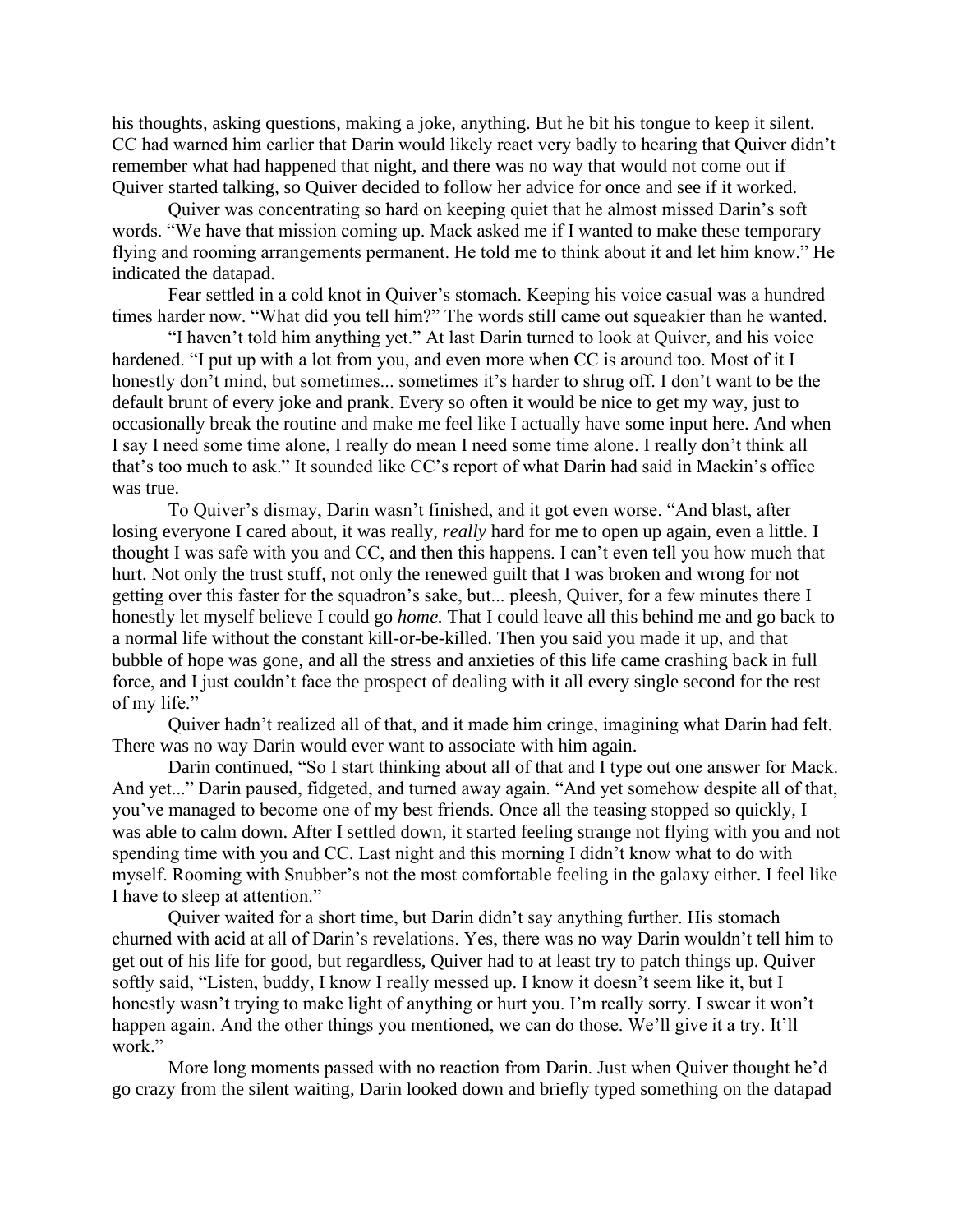his thoughts, asking questions, making a joke, anything. But he bit his tongue to keep it silent. CC had warned him earlier that Darin would likely react very badly to hearing that Quiver didn't remember what had happened that night, and there was no way that would not come out if Quiver started talking, so Quiver decided to follow her advice for once and see if it worked.

Quiver was concentrating so hard on keeping quiet that he almost missed Darin's soft words. "We have that mission coming up. Mack asked me if I wanted to make these temporary flying and rooming arrangements permanent. He told me to think about it and let him know." He indicated the datapad.

Fear settled in a cold knot in Quiver's stomach. Keeping his voice casual was a hundred times harder now. "What did you tell him?" The words still came out squeakier than he wanted.

"I haven't told him anything yet." At last Darin turned to look at Quiver, and his voice hardened. "I put up with a lot from you, and even more when CC is around too. Most of it I honestly don't mind, but sometimes... sometimes it's harder to shrug off. I don't want to be the default brunt of every joke and prank. Every so often it would be nice to get my way, just to occasionally break the routine and make me feel like I actually have some input here. And when I say I need some time alone, I really do mean I need some time alone. I really don't think all that's too much to ask." It sounded like CC's report of what Darin had said in Mackin's office was true.

To Quiver's dismay, Darin wasn't finished, and it got even worse. "And blast, after losing everyone I cared about, it was really, *really* hard for me to open up again, even a little. I thought I was safe with you and CC, and then this happens. I can't even tell you how much that hurt. Not only the trust stuff, not only the renewed guilt that I was broken and wrong for not getting over this faster for the squadron's sake, but... pleesh, Quiver, for a few minutes there I honestly let myself believe I could go *home.* That I could leave all this behind me and go back to a normal life without the constant kill-or-be-killed. Then you said you made it up, and that bubble of hope was gone, and all the stress and anxieties of this life came crashing back in full force, and I just couldn't face the prospect of dealing with it all every single second for the rest of my life."

Quiver hadn't realized all of that, and it made him cringe, imagining what Darin had felt. There was no way Darin would ever want to associate with him again.

Darin continued, "So I start thinking about all of that and I type out one answer for Mack. And yet..." Darin paused, fidgeted, and turned away again. "And yet somehow despite all of that, you've managed to become one of my best friends. Once all the teasing stopped so quickly, I was able to calm down. After I settled down, it started feeling strange not flying with you and not spending time with you and CC. Last night and this morning I didn't know what to do with myself. Rooming with Snubber's not the most comfortable feeling in the galaxy either. I feel like I have to sleep at attention."

Quiver waited for a short time, but Darin didn't say anything further. His stomach churned with acid at all of Darin's revelations. Yes, there was no way Darin wouldn't tell him to get out of his life for good, but regardless, Quiver had to at least try to patch things up. Quiver softly said, "Listen, buddy, I know I really messed up. I know it doesn't seem like it, but I honestly wasn't trying to make light of anything or hurt you. I'm really sorry. I swear it won't happen again. And the other things you mentioned, we can do those. We'll give it a try. It'll work."

More long moments passed with no reaction from Darin. Just when Quiver thought he'd go crazy from the silent waiting, Darin looked down and briefly typed something on the datapad